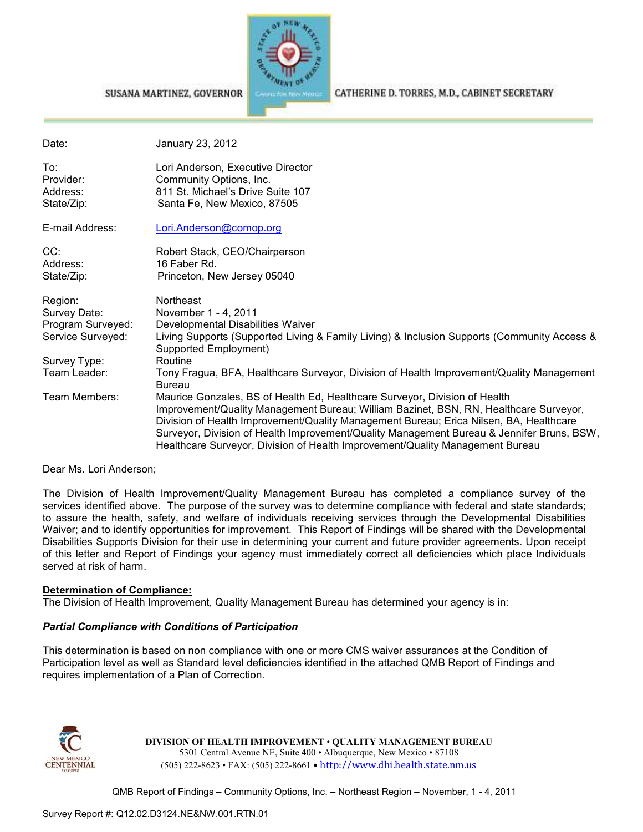

#### SUSANA MARTINEZ, GOVERNOR

CATHERINE D. TORRES, M.D., CABINET SECRETARY

| Date:                                      | January 23, 2012                                                                                                                                                                                                                                                                                                                                                                                                                            |
|--------------------------------------------|---------------------------------------------------------------------------------------------------------------------------------------------------------------------------------------------------------------------------------------------------------------------------------------------------------------------------------------------------------------------------------------------------------------------------------------------|
| To:<br>Provider:<br>Address:<br>State/Zip: | Lori Anderson, Executive Director<br>Community Options, Inc.<br>811 St. Michael's Drive Suite 107<br>Santa Fe, New Mexico, 87505                                                                                                                                                                                                                                                                                                            |
| E-mail Address:                            | Lori.Anderson@comop.org                                                                                                                                                                                                                                                                                                                                                                                                                     |
| CC:                                        | Robert Stack, CEO/Chairperson                                                                                                                                                                                                                                                                                                                                                                                                               |
| Address:                                   | 16 Faber Rd.                                                                                                                                                                                                                                                                                                                                                                                                                                |
| State/Zip:                                 | Princeton, New Jersey 05040                                                                                                                                                                                                                                                                                                                                                                                                                 |
| Region:                                    | Northeast                                                                                                                                                                                                                                                                                                                                                                                                                                   |
| Survey Date:                               | November 1 - 4, 2011                                                                                                                                                                                                                                                                                                                                                                                                                        |
| Program Surveyed:                          | Developmental Disabilities Waiver                                                                                                                                                                                                                                                                                                                                                                                                           |
| Service Surveyed:                          | Living Supports (Supported Living & Family Living) & Inclusion Supports (Community Access &<br>Supported Employment)                                                                                                                                                                                                                                                                                                                        |
| Survey Type:                               | Routine                                                                                                                                                                                                                                                                                                                                                                                                                                     |
| Team Leader:                               | Tony Fragua, BFA, Healthcare Surveyor, Division of Health Improvement/Quality Management<br><b>Bureau</b>                                                                                                                                                                                                                                                                                                                                   |
| Team Members:                              | Maurice Gonzales, BS of Health Ed, Healthcare Surveyor, Division of Health<br>Improvement/Quality Management Bureau; William Bazinet, BSN, RN, Healthcare Surveyor,<br>Division of Health Improvement/Quality Management Bureau; Erica Nilsen, BA, Healthcare<br>Surveyor, Division of Health Improvement/Quality Management Bureau & Jennifer Bruns, BSW,<br>Healthcare Surveyor, Division of Health Improvement/Quality Management Bureau |

Dear Ms. Lori Anderson;

The Division of Health Improvement/Quality Management Bureau has completed a compliance survey of the services identified above. The purpose of the survey was to determine compliance with federal and state standards; to assure the health, safety, and welfare of individuals receiving services through the Developmental Disabilities Waiver; and to identify opportunities for improvement. This Report of Findings will be shared with the Developmental Disabilities Supports Division for their use in determining your current and future provider agreements. Upon receipt of this letter and Report of Findings your agency must immediately correct all deficiencies which place Individuals served at risk of harm.

### **Determination of Compliance:**

The Division of Health Improvement, Quality Management Bureau has determined your agency is in:

### *Partial Compliance with Conditions of Participation*

This determination is based on non compliance with one or more CMS waiver assurances at the Condition of Participation level as well as Standard level deficiencies identified in the attached QMB Report of Findings and requires implementation of a Plan of Correction.



**DIVISION OF HEALTH IMPROVEMENT** • **QUALITY MANAGEMENT BUREAU** 5301 Central Avenue NE, Suite 400 • Albuquerque, New Mexico • 87108 (505) 222-8623 • FAX: (505) 222-8661 • http://www.dhi.health.state.nm.us

QMB Report of Findings – Community Options, Inc. – Northeast Region – November, 1 - 4, 2011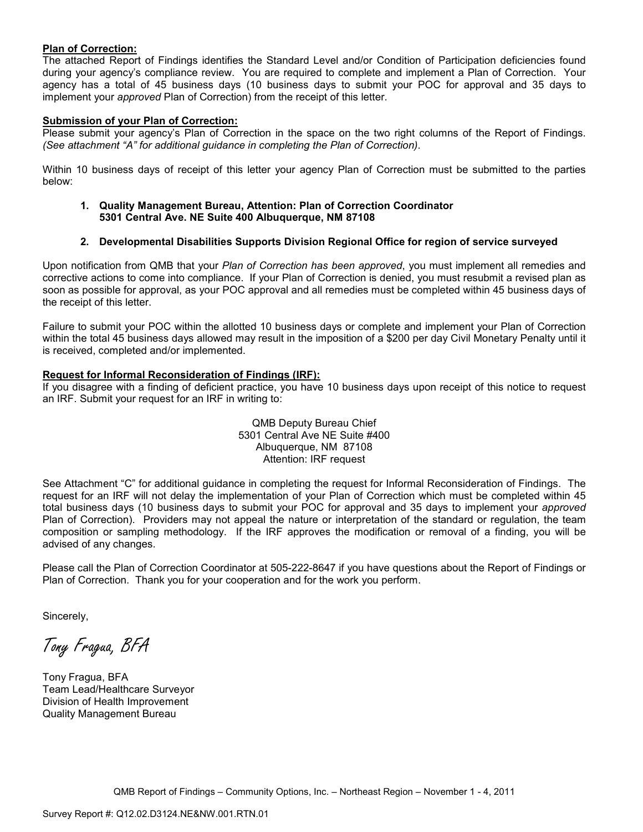### **Plan of Correction:**

The attached Report of Findings identifies the Standard Level and/or Condition of Participation deficiencies found during your agency's compliance review. You are required to complete and implement a Plan of Correction. Your agency has a total of 45 business days (10 business days to submit your POC for approval and 35 days to implement your *approved* Plan of Correction) from the receipt of this letter.

### **Submission of your Plan of Correction:**

Please submit your agency's Plan of Correction in the space on the two right columns of the Report of Findings. *(See attachment "A" for additional guidance in completing the Plan of Correction)*.

Within 10 business days of receipt of this letter your agency Plan of Correction must be submitted to the parties below:

**1. Quality Management Bureau, Attention: Plan of Correction Coordinator 5301 Central Ave. NE Suite 400 Albuquerque, NM 87108** 

## **2. Developmental Disabilities Supports Division Regional Office for region of service surveyed**

Upon notification from QMB that your *Plan of Correction has been approved*, you must implement all remedies and corrective actions to come into compliance. If your Plan of Correction is denied, you must resubmit a revised plan as soon as possible for approval, as your POC approval and all remedies must be completed within 45 business days of the receipt of this letter.

Failure to submit your POC within the allotted 10 business days or complete and implement your Plan of Correction within the total 45 business days allowed may result in the imposition of a \$200 per day Civil Monetary Penalty until it is received, completed and/or implemented.

### **Request for Informal Reconsideration of Findings (IRF):**

If you disagree with a finding of deficient practice, you have 10 business days upon receipt of this notice to request an IRF. Submit your request for an IRF in writing to:

> QMB Deputy Bureau Chief 5301 Central Ave NE Suite #400 Albuquerque, NM 87108 Attention: IRF request

See Attachment "C" for additional guidance in completing the request for Informal Reconsideration of Findings. The request for an IRF will not delay the implementation of your Plan of Correction which must be completed within 45 total business days (10 business days to submit your POC for approval and 35 days to implement your *approved* Plan of Correction). Providers may not appeal the nature or interpretation of the standard or regulation, the team composition or sampling methodology. If the IRF approves the modification or removal of a finding, you will be advised of any changes.

Please call the Plan of Correction Coordinator at 505-222-8647 if you have questions about the Report of Findings or Plan of Correction. Thank you for your cooperation and for the work you perform.

Sincerely,

Tony Fragua, BFA

Tony Fragua, BFA Team Lead/Healthcare Surveyor Division of Health Improvement Quality Management Bureau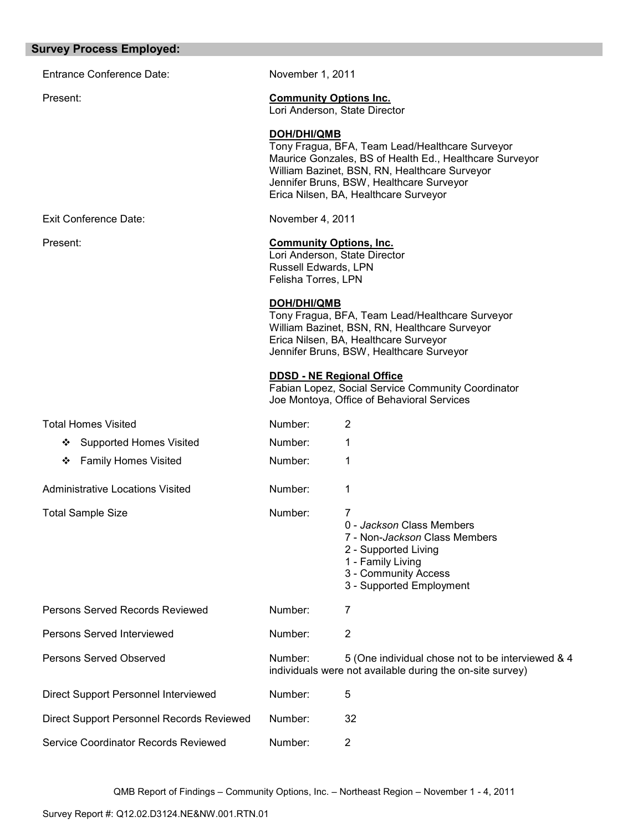#### **Survey Process Employed:**

Entrance Conference Date: November 1, 2011

Exit Conference Date: November 4, 2011

### Present: **Community Options Inc.**

Lori Anderson, State Director

### **DOH/DHI/QMB**

Tony Fragua, BFA, Team Lead/Healthcare Surveyor Maurice Gonzales, BS of Health Ed., Healthcare Surveyor William Bazinet, BSN, RN, Healthcare Surveyor Jennifer Bruns, BSW, Healthcare Surveyor Erica Nilsen, BA, Healthcare Surveyor

## Present: **Community Options, Inc.**

Lori Anderson, State Director Russell Edwards, LPN Felisha Torres, LPN

#### **DOH/DHI/QMB**

Tony Fragua, BFA, Team Lead/Healthcare Surveyor William Bazinet, BSN, RN, Healthcare Surveyor Erica Nilsen, BA, Healthcare Surveyor Jennifer Bruns, BSW, Healthcare Surveyor

#### **DDSD - NE Regional Office**

Fabian Lopez, Social Service Community Coordinator Joe Montoya, Office of Behavioral Services

| <b>Total Homes Visited</b>                | Number: | 2                                                                                                                                                                |
|-------------------------------------------|---------|------------------------------------------------------------------------------------------------------------------------------------------------------------------|
| <b>Supported Homes Visited</b><br>❖       | Number: |                                                                                                                                                                  |
| <b>Family Homes Visited</b><br>❖          | Number: | 1                                                                                                                                                                |
| Administrative Locations Visited          | Number: |                                                                                                                                                                  |
| <b>Total Sample Size</b>                  | Number: | 7<br>0 - Jackson Class Members<br>7 - Non-Jackson Class Members<br>2 - Supported Living<br>1 - Family Living<br>3 - Community Access<br>3 - Supported Employment |
| Persons Served Records Reviewed           | Number: | 7                                                                                                                                                                |
| Persons Served Interviewed                | Number: | $\overline{2}$                                                                                                                                                   |
| Persons Served Observed                   | Number: | 5 (One individual chose not to be interviewed & 4<br>individuals were not available during the on-site survey)                                                   |
| Direct Support Personnel Interviewed      | Number: | 5                                                                                                                                                                |
| Direct Support Personnel Records Reviewed | Number: | 32                                                                                                                                                               |
| Service Coordinator Records Reviewed      | Number: | 2                                                                                                                                                                |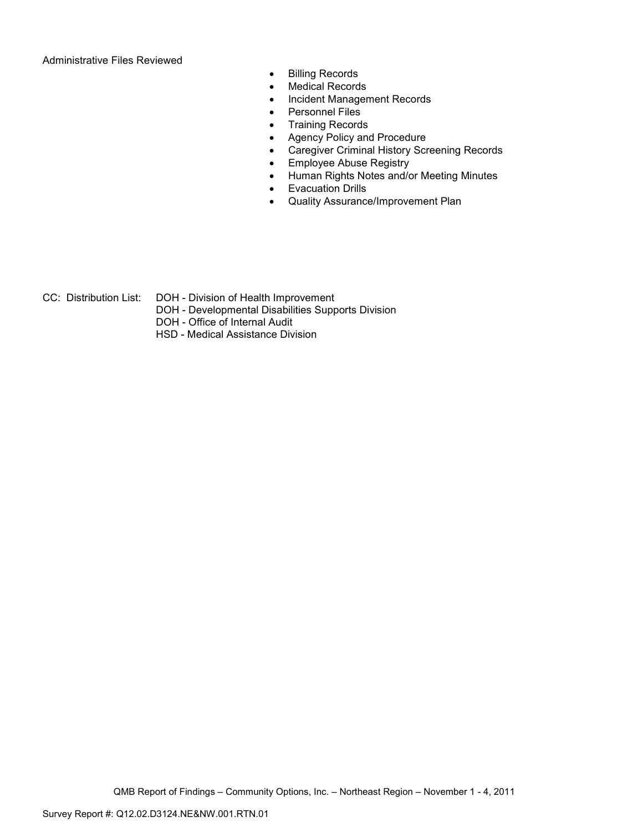Administrative Files Reviewed

- Billing Records
- Medical Records
- Incident Management Records
- Personnel Files
- Training Records
- Agency Policy and Procedure
- Caregiver Criminal History Screening Records
- Employee Abuse Registry
- Human Rights Notes and/or Meeting Minutes
- Evacuation Drills
- Quality Assurance/Improvement Plan

- 
- CC: Distribution List: DOH Division of Health Improvement
	- DOH Developmental Disabilities Supports Division
	- DOH Office of Internal Audit
	- HSD Medical Assistance Division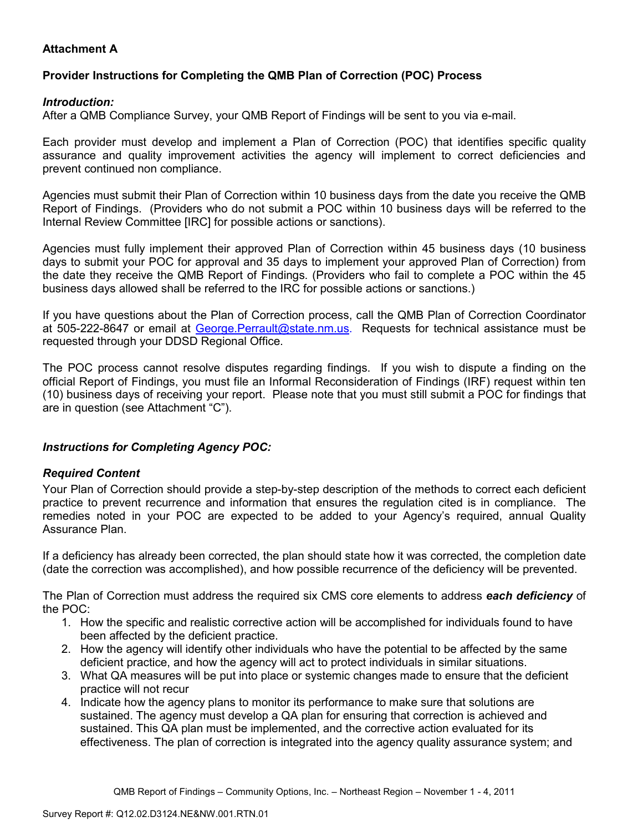# **Attachment A**

# **Provider Instructions for Completing the QMB Plan of Correction (POC) Process**

## *Introduction:*

After a QMB Compliance Survey, your QMB Report of Findings will be sent to you via e-mail.

Each provider must develop and implement a Plan of Correction (POC) that identifies specific quality assurance and quality improvement activities the agency will implement to correct deficiencies and prevent continued non compliance.

Agencies must submit their Plan of Correction within 10 business days from the date you receive the QMB Report of Findings. (Providers who do not submit a POC within 10 business days will be referred to the Internal Review Committee [IRC] for possible actions or sanctions).

Agencies must fully implement their approved Plan of Correction within 45 business days (10 business days to submit your POC for approval and 35 days to implement your approved Plan of Correction) from the date they receive the QMB Report of Findings. (Providers who fail to complete a POC within the 45 business days allowed shall be referred to the IRC for possible actions or sanctions.)

If you have questions about the Plan of Correction process, call the QMB Plan of Correction Coordinator at 505-222-8647 or email at George. Perrault@state.nm.us. Requests for technical assistance must be requested through your DDSD Regional Office.

The POC process cannot resolve disputes regarding findings. If you wish to dispute a finding on the official Report of Findings, you must file an Informal Reconsideration of Findings (IRF) request within ten (10) business days of receiving your report. Please note that you must still submit a POC for findings that are in question (see Attachment "C").

## *Instructions for Completing Agency POC:*

## *Required Content*

Your Plan of Correction should provide a step-by-step description of the methods to correct each deficient practice to prevent recurrence and information that ensures the regulation cited is in compliance. The remedies noted in your POC are expected to be added to your Agency's required, annual Quality Assurance Plan.

If a deficiency has already been corrected, the plan should state how it was corrected, the completion date (date the correction was accomplished), and how possible recurrence of the deficiency will be prevented.

The Plan of Correction must address the required six CMS core elements to address *each deficiency* of the POC:

- 1. How the specific and realistic corrective action will be accomplished for individuals found to have been affected by the deficient practice.
- 2. How the agency will identify other individuals who have the potential to be affected by the same deficient practice, and how the agency will act to protect individuals in similar situations.
- 3. What QA measures will be put into place or systemic changes made to ensure that the deficient practice will not recur
- 4. Indicate how the agency plans to monitor its performance to make sure that solutions are sustained. The agency must develop a QA plan for ensuring that correction is achieved and sustained. This QA plan must be implemented, and the corrective action evaluated for its effectiveness. The plan of correction is integrated into the agency quality assurance system; and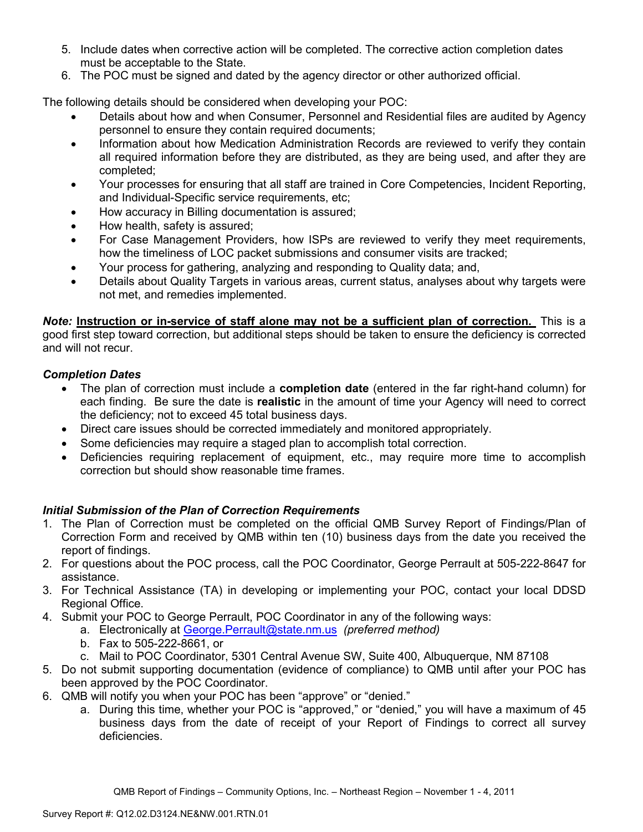- 5. Include dates when corrective action will be completed. The corrective action completion dates must be acceptable to the State.
- 6. The POC must be signed and dated by the agency director or other authorized official.

The following details should be considered when developing your POC:

- Details about how and when Consumer, Personnel and Residential files are audited by Agency personnel to ensure they contain required documents;
- Information about how Medication Administration Records are reviewed to verify they contain all required information before they are distributed, as they are being used, and after they are completed;
- Your processes for ensuring that all staff are trained in Core Competencies, Incident Reporting, and Individual-Specific service requirements, etc;
- How accuracy in Billing documentation is assured;
- How health, safety is assured;
- For Case Management Providers, how ISPs are reviewed to verify they meet requirements, how the timeliness of LOC packet submissions and consumer visits are tracked;
- Your process for gathering, analyzing and responding to Quality data; and,
- Details about Quality Targets in various areas, current status, analyses about why targets were not met, and remedies implemented.

*Note:* **Instruction or in-service of staff alone may not be a sufficient plan of correction.** This is a good first step toward correction, but additional steps should be taken to ensure the deficiency is corrected and will not recur.

## *Completion Dates*

- The plan of correction must include a **completion date** (entered in the far right-hand column) for each finding. Be sure the date is **realistic** in the amount of time your Agency will need to correct the deficiency; not to exceed 45 total business days.
- Direct care issues should be corrected immediately and monitored appropriately.
- Some deficiencies may require a staged plan to accomplish total correction.
- Deficiencies requiring replacement of equipment, etc., may require more time to accomplish correction but should show reasonable time frames.

# *Initial Submission of the Plan of Correction Requirements*

- 1. The Plan of Correction must be completed on the official QMB Survey Report of Findings/Plan of Correction Form and received by QMB within ten (10) business days from the date you received the report of findings.
- 2. For questions about the POC process, call the POC Coordinator, George Perrault at 505-222-8647 for assistance.
- 3. For Technical Assistance (TA) in developing or implementing your POC, contact your local DDSD Regional Office.
- 4. Submit your POC to George Perrault, POC Coordinator in any of the following ways:
	- a. Electronically at George.Perrault@state.nm.us *(preferred method)*
	- b. Fax to 505-222-8661, or
	- c. Mail to POC Coordinator, 5301 Central Avenue SW, Suite 400, Albuquerque, NM 87108
- 5. Do not submit supporting documentation (evidence of compliance) to QMB until after your POC has been approved by the POC Coordinator.
- 6. QMB will notify you when your POC has been "approve" or "denied."
	- a. During this time, whether your POC is "approved," or "denied," you will have a maximum of 45 business days from the date of receipt of your Report of Findings to correct all survey deficiencies.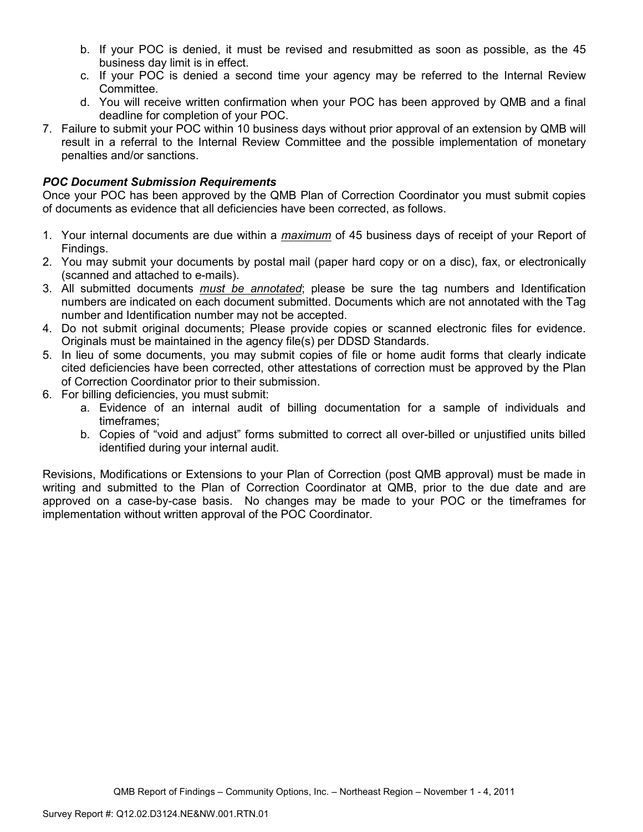- b. If your POC is denied, it must be revised and resubmitted as soon as possible, as the 45 business day limit is in effect.
- c. If your POC is denied a second time your agency may be referred to the Internal Review Committee.
- d. You will receive written confirmation when your POC has been approved by QMB and a final deadline for completion of your POC.
- 7. Failure to submit your POC within 10 business days without prior approval of an extension by QMB will result in a referral to the Internal Review Committee and the possible implementation of monetary penalties and/or sanctions.

## *POC Document Submission Requirements*

Once your POC has been approved by the QMB Plan of Correction Coordinator you must submit copies of documents as evidence that all deficiencies have been corrected, as follows.

- 1. Your internal documents are due within a *maximum* of 45 business days of receipt of your Report of Findings.
- 2. You may submit your documents by postal mail (paper hard copy or on a disc), fax, or electronically (scanned and attached to e-mails).
- 3. All submitted documents *must be annotated*; please be sure the tag numbers and Identification numbers are indicated on each document submitted. Documents which are not annotated with the Tag number and Identification number may not be accepted.
- 4. Do not submit original documents; Please provide copies or scanned electronic files for evidence. Originals must be maintained in the agency file(s) per DDSD Standards.
- 5. In lieu of some documents, you may submit copies of file or home audit forms that clearly indicate cited deficiencies have been corrected, other attestations of correction must be approved by the Plan of Correction Coordinator prior to their submission.
- 6. For billing deficiencies, you must submit:
	- a. Evidence of an internal audit of billing documentation for a sample of individuals and timeframes;
	- b. Copies of "void and adjust" forms submitted to correct all over-billed or unjustified units billed identified during your internal audit.

Revisions, Modifications or Extensions to your Plan of Correction (post QMB approval) must be made in writing and submitted to the Plan of Correction Coordinator at QMB, prior to the due date and are approved on a case-by-case basis. No changes may be made to your POC or the timeframes for implementation without written approval of the POC Coordinator.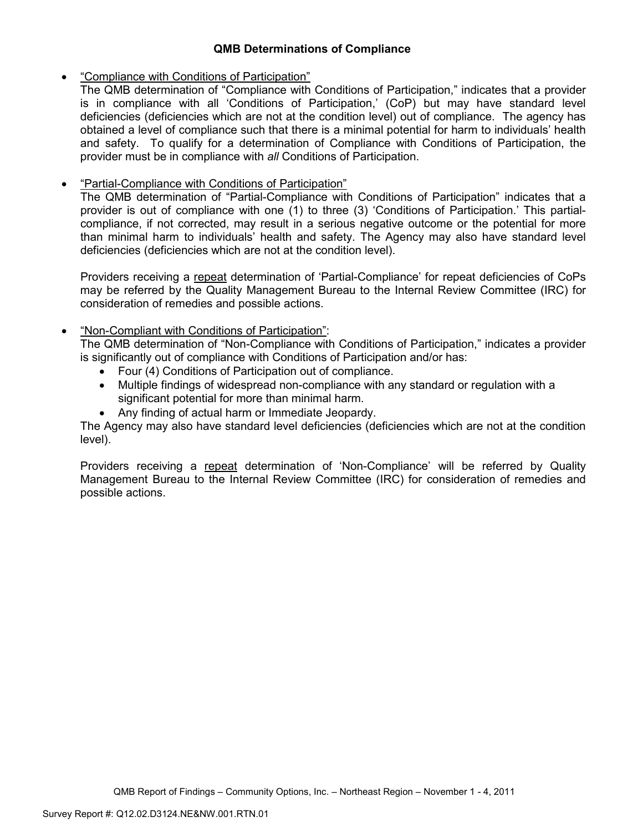## **QMB Determinations of Compliance**

## • "Compliance with Conditions of Participation"

The QMB determination of "Compliance with Conditions of Participation," indicates that a provider is in compliance with all 'Conditions of Participation,' (CoP) but may have standard level deficiencies (deficiencies which are not at the condition level) out of compliance. The agency has obtained a level of compliance such that there is a minimal potential for harm to individuals' health and safety. To qualify for a determination of Compliance with Conditions of Participation, the provider must be in compliance with *all* Conditions of Participation.

# • "Partial-Compliance with Conditions of Participation"

The QMB determination of "Partial-Compliance with Conditions of Participation" indicates that a provider is out of compliance with one (1) to three (3) 'Conditions of Participation.' This partialcompliance, if not corrected, may result in a serious negative outcome or the potential for more than minimal harm to individuals' health and safety. The Agency may also have standard level deficiencies (deficiencies which are not at the condition level).

Providers receiving a repeat determination of 'Partial-Compliance' for repeat deficiencies of CoPs may be referred by the Quality Management Bureau to the Internal Review Committee (IRC) for consideration of remedies and possible actions.

# • "Non-Compliant with Conditions of Participation":

The QMB determination of "Non-Compliance with Conditions of Participation," indicates a provider is significantly out of compliance with Conditions of Participation and/or has:

- Four (4) Conditions of Participation out of compliance.
- Multiple findings of widespread non-compliance with any standard or regulation with a significant potential for more than minimal harm.
- Any finding of actual harm or Immediate Jeopardy.

The Agency may also have standard level deficiencies (deficiencies which are not at the condition level).

Providers receiving a repeat determination of 'Non-Compliance' will be referred by Quality Management Bureau to the Internal Review Committee (IRC) for consideration of remedies and possible actions.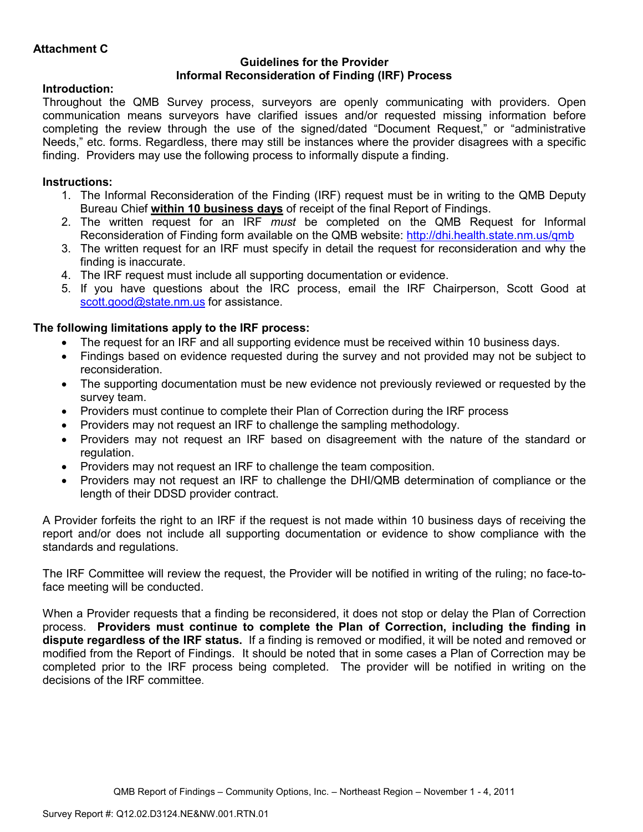## **Guidelines for the Provider Informal Reconsideration of Finding (IRF) Process**

## **Introduction:**

Throughout the QMB Survey process, surveyors are openly communicating with providers. Open communication means surveyors have clarified issues and/or requested missing information before completing the review through the use of the signed/dated "Document Request," or "administrative Needs," etc. forms. Regardless, there may still be instances where the provider disagrees with a specific finding. Providers may use the following process to informally dispute a finding.

# **Instructions:**

- 1. The Informal Reconsideration of the Finding (IRF) request must be in writing to the QMB Deputy Bureau Chief **within 10 business days** of receipt of the final Report of Findings.
- 2. The written request for an IRF *must* be completed on the QMB Request for Informal Reconsideration of Finding form available on the QMB website: http://dhi.health.state.nm.us/qmb
- 3. The written request for an IRF must specify in detail the request for reconsideration and why the finding is inaccurate.
- 4. The IRF request must include all supporting documentation or evidence.
- 5. If you have questions about the IRC process, email the IRF Chairperson, Scott Good at scott.good@state.nm.us for assistance.

# **The following limitations apply to the IRF process:**

- The request for an IRF and all supporting evidence must be received within 10 business days.
- Findings based on evidence requested during the survey and not provided may not be subject to reconsideration.
- The supporting documentation must be new evidence not previously reviewed or requested by the survey team.
- Providers must continue to complete their Plan of Correction during the IRF process
- Providers may not request an IRF to challenge the sampling methodology.
- Providers may not request an IRF based on disagreement with the nature of the standard or regulation.
- Providers may not request an IRF to challenge the team composition.
- Providers may not request an IRF to challenge the DHI/QMB determination of compliance or the length of their DDSD provider contract.

A Provider forfeits the right to an IRF if the request is not made within 10 business days of receiving the report and/or does not include all supporting documentation or evidence to show compliance with the standards and regulations.

The IRF Committee will review the request, the Provider will be notified in writing of the ruling; no face-toface meeting will be conducted.

When a Provider requests that a finding be reconsidered, it does not stop or delay the Plan of Correction process. **Providers must continue to complete the Plan of Correction, including the finding in dispute regardless of the IRF status.** If a finding is removed or modified, it will be noted and removed or modified from the Report of Findings. It should be noted that in some cases a Plan of Correction may be completed prior to the IRF process being completed. The provider will be notified in writing on the decisions of the IRF committee.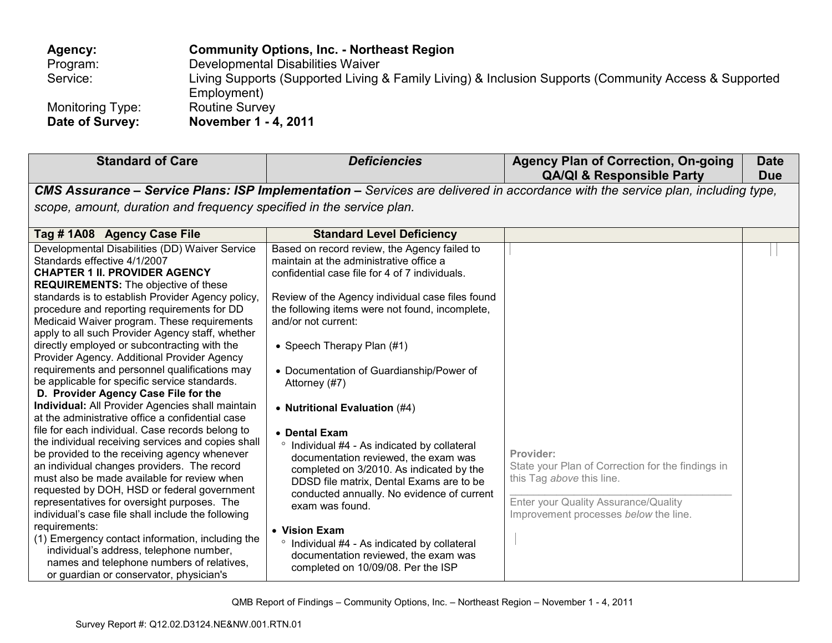| Agency:          | <b>Community Options, Inc. - Northeast Region</b>                                                     |
|------------------|-------------------------------------------------------------------------------------------------------|
| Program:         | Developmental Disabilities Waiver                                                                     |
| Service:         | Living Supports (Supported Living & Family Living) & Inclusion Supports (Community Access & Supported |
|                  | Employment)                                                                                           |
| Monitoring Type: | <b>Routine Survey</b>                                                                                 |
| Date of Survey:  | November 1 - 4, 2011                                                                                  |

| <b>Standard of Care</b>                                                                                                                                                                                                                                                                                                                                                                                                                                                                                                                                                                                                                                                                                                                                                                                                                                                                                                                                                                                                                                                                                                                                                                                                                                                                                                                           | <b>Deficiencies</b>                                                                                                                                                                                                                                                                                                                                                                                                                                                                                                                                                                                                                                                                                                                                                                                                           | <b>Agency Plan of Correction, On-going</b><br><b>QA/QI &amp; Responsible Party</b>                                                                                           | <b>Date</b><br><b>Due</b> |
|---------------------------------------------------------------------------------------------------------------------------------------------------------------------------------------------------------------------------------------------------------------------------------------------------------------------------------------------------------------------------------------------------------------------------------------------------------------------------------------------------------------------------------------------------------------------------------------------------------------------------------------------------------------------------------------------------------------------------------------------------------------------------------------------------------------------------------------------------------------------------------------------------------------------------------------------------------------------------------------------------------------------------------------------------------------------------------------------------------------------------------------------------------------------------------------------------------------------------------------------------------------------------------------------------------------------------------------------------|-------------------------------------------------------------------------------------------------------------------------------------------------------------------------------------------------------------------------------------------------------------------------------------------------------------------------------------------------------------------------------------------------------------------------------------------------------------------------------------------------------------------------------------------------------------------------------------------------------------------------------------------------------------------------------------------------------------------------------------------------------------------------------------------------------------------------------|------------------------------------------------------------------------------------------------------------------------------------------------------------------------------|---------------------------|
|                                                                                                                                                                                                                                                                                                                                                                                                                                                                                                                                                                                                                                                                                                                                                                                                                                                                                                                                                                                                                                                                                                                                                                                                                                                                                                                                                   |                                                                                                                                                                                                                                                                                                                                                                                                                                                                                                                                                                                                                                                                                                                                                                                                                               | CMS Assurance - Service Plans: ISP Implementation - Services are delivered in accordance with the service plan, including type,                                              |                           |
| scope, amount, duration and frequency specified in the service plan.                                                                                                                                                                                                                                                                                                                                                                                                                                                                                                                                                                                                                                                                                                                                                                                                                                                                                                                                                                                                                                                                                                                                                                                                                                                                              |                                                                                                                                                                                                                                                                                                                                                                                                                                                                                                                                                                                                                                                                                                                                                                                                                               |                                                                                                                                                                              |                           |
| Tag # 1A08 Agency Case File                                                                                                                                                                                                                                                                                                                                                                                                                                                                                                                                                                                                                                                                                                                                                                                                                                                                                                                                                                                                                                                                                                                                                                                                                                                                                                                       | <b>Standard Level Deficiency</b>                                                                                                                                                                                                                                                                                                                                                                                                                                                                                                                                                                                                                                                                                                                                                                                              |                                                                                                                                                                              |                           |
| Developmental Disabilities (DD) Waiver Service<br>Standards effective 4/1/2007<br><b>CHAPTER 1 II. PROVIDER AGENCY</b><br><b>REQUIREMENTS:</b> The objective of these<br>standards is to establish Provider Agency policy,<br>procedure and reporting requirements for DD<br>Medicaid Waiver program. These requirements<br>apply to all such Provider Agency staff, whether<br>directly employed or subcontracting with the<br>Provider Agency. Additional Provider Agency<br>requirements and personnel qualifications may<br>be applicable for specific service standards.<br>D. Provider Agency Case File for the<br>Individual: All Provider Agencies shall maintain<br>at the administrative office a confidential case<br>file for each individual. Case records belong to<br>the individual receiving services and copies shall<br>be provided to the receiving agency whenever<br>an individual changes providers. The record<br>must also be made available for review when<br>requested by DOH, HSD or federal government<br>representatives for oversight purposes. The<br>individual's case file shall include the following<br>requirements:<br>(1) Emergency contact information, including the<br>individual's address, telephone number,<br>names and telephone numbers of relatives,<br>or guardian or conservator, physician's | Based on record review, the Agency failed to<br>maintain at the administrative office a<br>confidential case file for 4 of 7 individuals.<br>Review of the Agency individual case files found<br>the following items were not found, incomplete,<br>and/or not current:<br>• Speech Therapy Plan (#1)<br>• Documentation of Guardianship/Power of<br>Attorney (#7)<br>• Nutritional Evaluation (#4)<br>• Dental Exam<br>° Individual #4 - As indicated by collateral<br>documentation reviewed, the exam was<br>completed on 3/2010. As indicated by the<br>DDSD file matrix, Dental Exams are to be<br>conducted annually. No evidence of current<br>exam was found.<br>• Vision Exam<br>Individual #4 - As indicated by collateral<br>$\circ$<br>documentation reviewed, the exam was<br>completed on 10/09/08. Per the ISP | Provider:<br>State your Plan of Correction for the findings in<br>this Tag above this line.<br>Enter your Quality Assurance/Quality<br>Improvement processes below the line. |                           |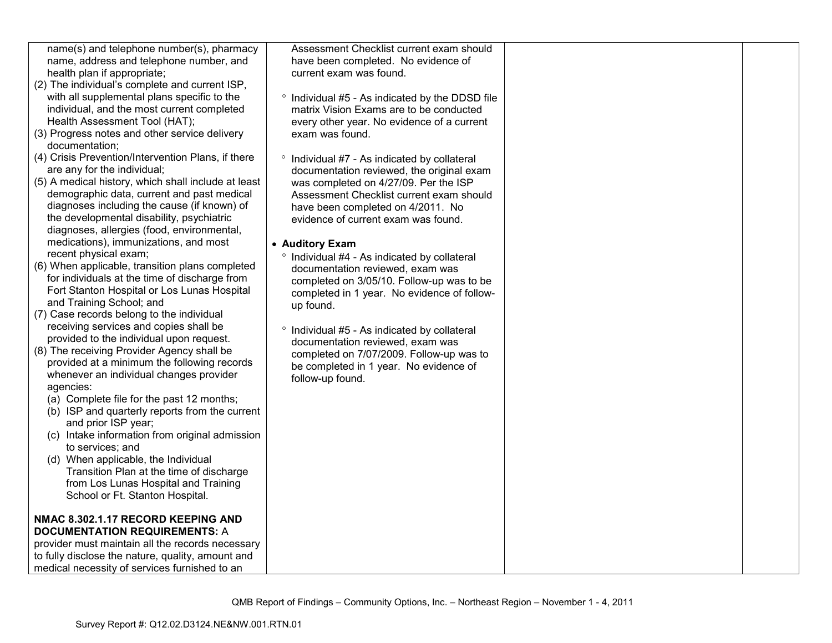| name(s) and telephone number(s), pharmacy                            | Assessment Checklist current exam should              |  |
|----------------------------------------------------------------------|-------------------------------------------------------|--|
| name, address and telephone number, and                              | have been completed. No evidence of                   |  |
| health plan if appropriate;                                          | current exam was found.                               |  |
| (2) The individual's complete and current ISP,                       |                                                       |  |
| with all supplemental plans specific to the                          | ° Individual #5 - As indicated by the DDSD file       |  |
| individual, and the most current completed                           | matrix Vision Exams are to be conducted               |  |
| Health Assessment Tool (HAT);                                        | every other year. No evidence of a current            |  |
| (3) Progress notes and other service delivery                        | exam was found.                                       |  |
| documentation;<br>(4) Crisis Prevention/Intervention Plans, if there | $\circ$<br>Individual #7 - As indicated by collateral |  |
| are any for the individual;                                          | documentation reviewed, the original exam             |  |
| (5) A medical history, which shall include at least                  | was completed on 4/27/09. Per the ISP                 |  |
| demographic data, current and past medical                           | Assessment Checklist current exam should              |  |
| diagnoses including the cause (if known) of                          | have been completed on 4/2011. No                     |  |
| the developmental disability, psychiatric                            | evidence of current exam was found.                   |  |
| diagnoses, allergies (food, environmental,                           |                                                       |  |
| medications), immunizations, and most                                | • Auditory Exam                                       |  |
| recent physical exam;                                                | ° Individual #4 - As indicated by collateral          |  |
| (6) When applicable, transition plans completed                      | documentation reviewed, exam was                      |  |
| for individuals at the time of discharge from                        | completed on 3/05/10. Follow-up was to be             |  |
| Fort Stanton Hospital or Los Lunas Hospital                          | completed in 1 year. No evidence of follow-           |  |
| and Training School; and                                             | up found.                                             |  |
| (7) Case records belong to the individual                            |                                                       |  |
| receiving services and copies shall be                               | ° Individual #5 - As indicated by collateral          |  |
| provided to the individual upon request.                             | documentation reviewed, exam was                      |  |
| (8) The receiving Provider Agency shall be                           | completed on 7/07/2009. Follow-up was to              |  |
| provided at a minimum the following records                          | be completed in 1 year. No evidence of                |  |
| whenever an individual changes provider                              | follow-up found.                                      |  |
| agencies:                                                            |                                                       |  |
| (a) Complete file for the past 12 months;                            |                                                       |  |
| (b) ISP and quarterly reports from the current                       |                                                       |  |
| and prior ISP year;                                                  |                                                       |  |
| (c) Intake information from original admission<br>to services; and   |                                                       |  |
| (d) When applicable, the Individual                                  |                                                       |  |
| Transition Plan at the time of discharge                             |                                                       |  |
| from Los Lunas Hospital and Training                                 |                                                       |  |
| School or Ft. Stanton Hospital.                                      |                                                       |  |
|                                                                      |                                                       |  |
| NMAC 8.302.1.17 RECORD KEEPING AND                                   |                                                       |  |
| <b>DOCUMENTATION REQUIREMENTS: A</b>                                 |                                                       |  |
| provider must maintain all the records necessary                     |                                                       |  |
| to fully disclose the nature, quality, amount and                    |                                                       |  |
| medical necessity of services furnished to an                        |                                                       |  |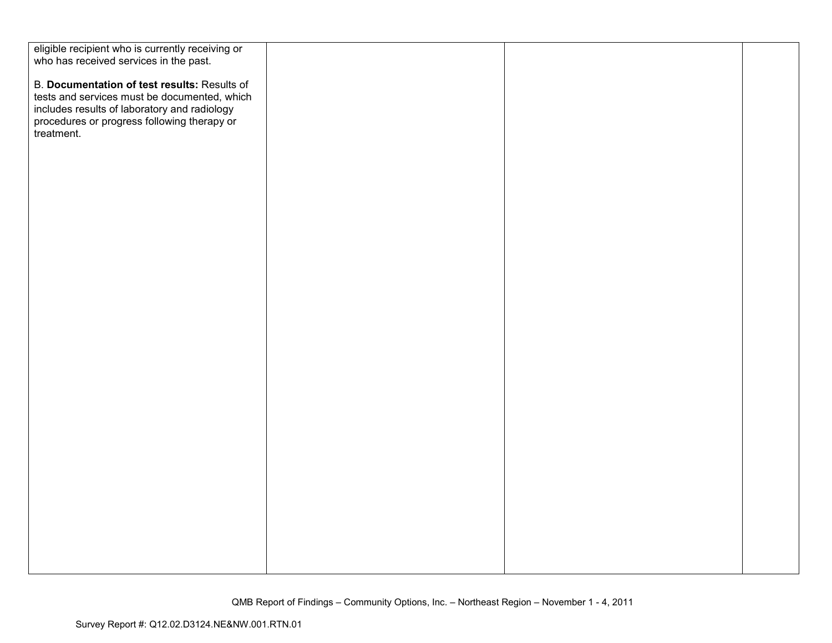| eligible recipient who is currently receiving or                                            |  |  |
|---------------------------------------------------------------------------------------------|--|--|
| who has received services in the past.                                                      |  |  |
|                                                                                             |  |  |
| B. Documentation of test results: Results of                                                |  |  |
| tests and services must be documented, which                                                |  |  |
|                                                                                             |  |  |
| includes results of laboratory and radiology<br>procedures or progress following therapy or |  |  |
| treatment.                                                                                  |  |  |
|                                                                                             |  |  |
|                                                                                             |  |  |
|                                                                                             |  |  |
|                                                                                             |  |  |
|                                                                                             |  |  |
|                                                                                             |  |  |
|                                                                                             |  |  |
|                                                                                             |  |  |
|                                                                                             |  |  |
|                                                                                             |  |  |
|                                                                                             |  |  |
|                                                                                             |  |  |
|                                                                                             |  |  |
|                                                                                             |  |  |
|                                                                                             |  |  |
|                                                                                             |  |  |
|                                                                                             |  |  |
|                                                                                             |  |  |
|                                                                                             |  |  |
|                                                                                             |  |  |
|                                                                                             |  |  |
|                                                                                             |  |  |
|                                                                                             |  |  |
|                                                                                             |  |  |
|                                                                                             |  |  |
|                                                                                             |  |  |
|                                                                                             |  |  |
|                                                                                             |  |  |
|                                                                                             |  |  |
|                                                                                             |  |  |
|                                                                                             |  |  |
|                                                                                             |  |  |
|                                                                                             |  |  |
|                                                                                             |  |  |
|                                                                                             |  |  |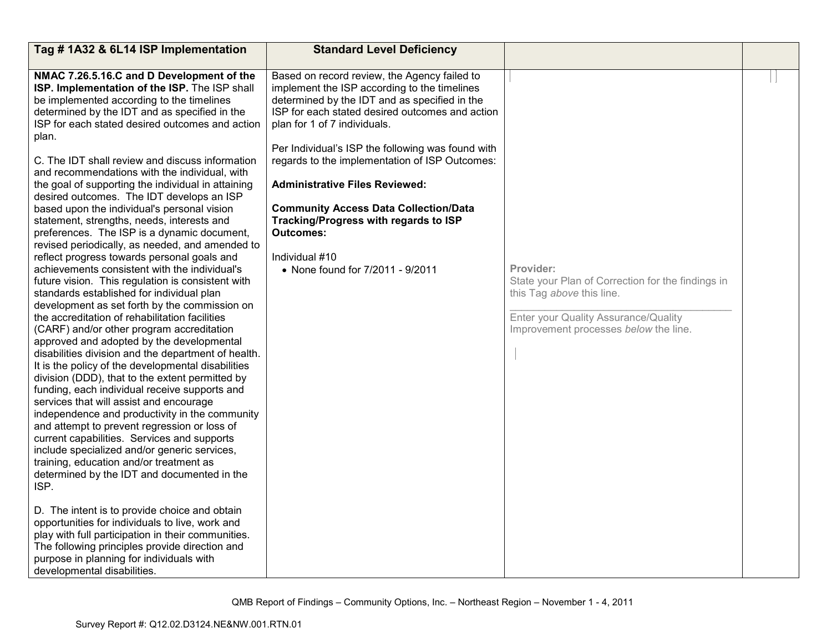| Tag #1A32 & 6L14 ISP Implementation                                                                                                                                                                                                                                                                                                                                                                                                                                                                                                                                                                                                                                                                                                                                                                                                                                                                                                                                                                                                                                                                                                                                                                                                                                                                                                                                                                                                                                                                                                                                                                                                                                                                                                                                                                                                                                                                             | <b>Standard Level Deficiency</b>                                                                                                                                                                                                                                                                                                                                                                                                                                                                                                                    |                                                                                                                                                                              |  |
|-----------------------------------------------------------------------------------------------------------------------------------------------------------------------------------------------------------------------------------------------------------------------------------------------------------------------------------------------------------------------------------------------------------------------------------------------------------------------------------------------------------------------------------------------------------------------------------------------------------------------------------------------------------------------------------------------------------------------------------------------------------------------------------------------------------------------------------------------------------------------------------------------------------------------------------------------------------------------------------------------------------------------------------------------------------------------------------------------------------------------------------------------------------------------------------------------------------------------------------------------------------------------------------------------------------------------------------------------------------------------------------------------------------------------------------------------------------------------------------------------------------------------------------------------------------------------------------------------------------------------------------------------------------------------------------------------------------------------------------------------------------------------------------------------------------------------------------------------------------------------------------------------------------------|-----------------------------------------------------------------------------------------------------------------------------------------------------------------------------------------------------------------------------------------------------------------------------------------------------------------------------------------------------------------------------------------------------------------------------------------------------------------------------------------------------------------------------------------------------|------------------------------------------------------------------------------------------------------------------------------------------------------------------------------|--|
| NMAC 7.26.5.16.C and D Development of the<br>ISP. Implementation of the ISP. The ISP shall<br>be implemented according to the timelines<br>determined by the IDT and as specified in the<br>ISP for each stated desired outcomes and action<br>plan.<br>C. The IDT shall review and discuss information<br>and recommendations with the individual, with<br>the goal of supporting the individual in attaining<br>desired outcomes. The IDT develops an ISP<br>based upon the individual's personal vision<br>statement, strengths, needs, interests and<br>preferences. The ISP is a dynamic document,<br>revised periodically, as needed, and amended to<br>reflect progress towards personal goals and<br>achievements consistent with the individual's<br>future vision. This regulation is consistent with<br>standards established for individual plan<br>development as set forth by the commission on<br>the accreditation of rehabilitation facilities<br>(CARF) and/or other program accreditation<br>approved and adopted by the developmental<br>disabilities division and the department of health.<br>It is the policy of the developmental disabilities<br>division (DDD), that to the extent permitted by<br>funding, each individual receive supports and<br>services that will assist and encourage<br>independence and productivity in the community<br>and attempt to prevent regression or loss of<br>current capabilities. Services and supports<br>include specialized and/or generic services,<br>training, education and/or treatment as<br>determined by the IDT and documented in the<br>ISP.<br>D. The intent is to provide choice and obtain<br>opportunities for individuals to live, work and<br>play with full participation in their communities.<br>The following principles provide direction and<br>purpose in planning for individuals with<br>developmental disabilities. | Based on record review, the Agency failed to<br>implement the ISP according to the timelines<br>determined by the IDT and as specified in the<br>ISP for each stated desired outcomes and action<br>plan for 1 of 7 individuals.<br>Per Individual's ISP the following was found with<br>regards to the implementation of ISP Outcomes:<br><b>Administrative Files Reviewed:</b><br><b>Community Access Data Collection/Data</b><br>Tracking/Progress with regards to ISP<br><b>Outcomes:</b><br>Individual #10<br>• None found for 7/2011 - 9/2011 | Provider:<br>State your Plan of Correction for the findings in<br>this Tag above this line.<br>Enter your Quality Assurance/Quality<br>Improvement processes below the line. |  |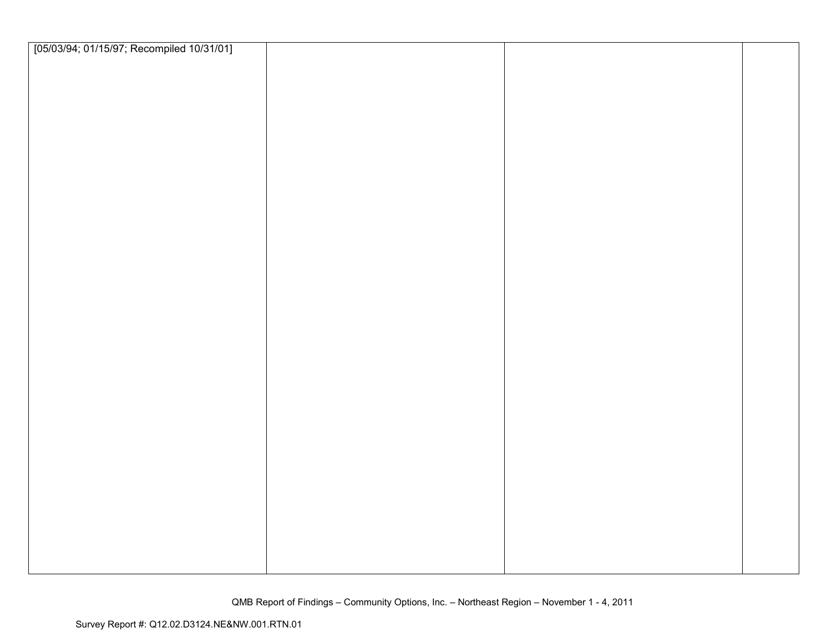| [05/03/94; 01/15/97; Recompiled 10/31/01] |  |  |
|-------------------------------------------|--|--|
|                                           |  |  |
|                                           |  |  |
|                                           |  |  |
|                                           |  |  |
|                                           |  |  |
|                                           |  |  |
|                                           |  |  |
|                                           |  |  |
|                                           |  |  |
|                                           |  |  |
|                                           |  |  |
|                                           |  |  |
|                                           |  |  |
|                                           |  |  |
|                                           |  |  |
|                                           |  |  |
|                                           |  |  |
|                                           |  |  |
|                                           |  |  |
|                                           |  |  |
|                                           |  |  |
|                                           |  |  |
|                                           |  |  |
|                                           |  |  |
|                                           |  |  |
|                                           |  |  |
|                                           |  |  |
|                                           |  |  |
|                                           |  |  |
|                                           |  |  |
|                                           |  |  |
|                                           |  |  |
|                                           |  |  |
|                                           |  |  |
|                                           |  |  |
|                                           |  |  |
|                                           |  |  |
|                                           |  |  |
|                                           |  |  |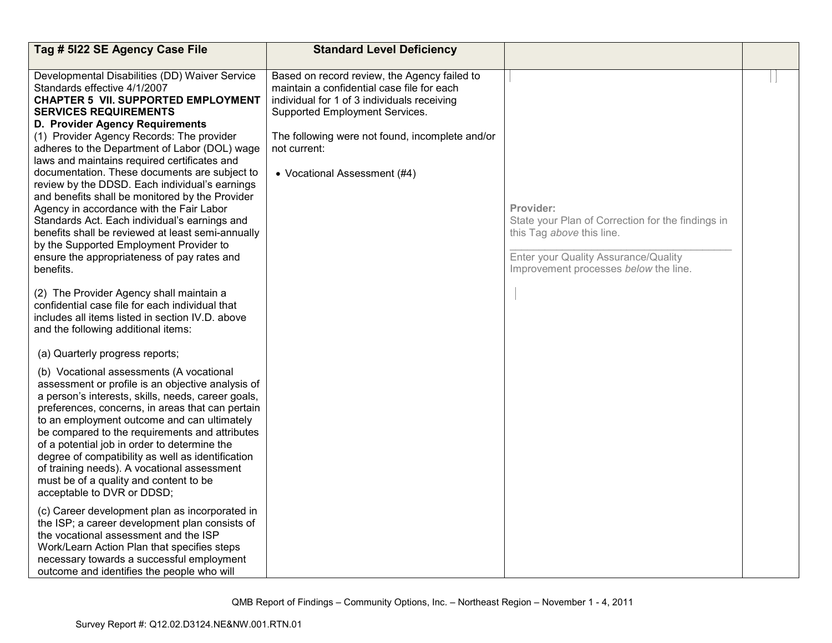| Tag # 5122 SE Agency Case File                                                                                                                                                                                                                                                                                                                                                                                                                                                                                                                                                                                                                                                                                                                               | <b>Standard Level Deficiency</b>                                                                                                                                                                                                                                               |                                                                                                                                                                              |  |
|--------------------------------------------------------------------------------------------------------------------------------------------------------------------------------------------------------------------------------------------------------------------------------------------------------------------------------------------------------------------------------------------------------------------------------------------------------------------------------------------------------------------------------------------------------------------------------------------------------------------------------------------------------------------------------------------------------------------------------------------------------------|--------------------------------------------------------------------------------------------------------------------------------------------------------------------------------------------------------------------------------------------------------------------------------|------------------------------------------------------------------------------------------------------------------------------------------------------------------------------|--|
| Developmental Disabilities (DD) Waiver Service<br>Standards effective 4/1/2007<br><b>CHAPTER 5 VII. SUPPORTED EMPLOYMENT</b><br><b>SERVICES REQUIREMENTS</b><br>D. Provider Agency Requirements<br>(1) Provider Agency Records: The provider<br>adheres to the Department of Labor (DOL) wage<br>laws and maintains required certificates and<br>documentation. These documents are subject to<br>review by the DDSD. Each individual's earnings<br>and benefits shall be monitored by the Provider<br>Agency in accordance with the Fair Labor<br>Standards Act. Each individual's earnings and<br>benefits shall be reviewed at least semi-annually<br>by the Supported Employment Provider to<br>ensure the appropriateness of pay rates and<br>benefits. | Based on record review, the Agency failed to<br>maintain a confidential case file for each<br>individual for 1 of 3 individuals receiving<br>Supported Employment Services.<br>The following were not found, incomplete and/or<br>not current:<br>• Vocational Assessment (#4) | Provider:<br>State your Plan of Correction for the findings in<br>this Tag above this line.<br>Enter your Quality Assurance/Quality<br>Improvement processes below the line. |  |
| (2) The Provider Agency shall maintain a<br>confidential case file for each individual that<br>includes all items listed in section IV.D. above<br>and the following additional items:                                                                                                                                                                                                                                                                                                                                                                                                                                                                                                                                                                       |                                                                                                                                                                                                                                                                                |                                                                                                                                                                              |  |
| (a) Quarterly progress reports;<br>(b) Vocational assessments (A vocational<br>assessment or profile is an objective analysis of<br>a person's interests, skills, needs, career goals,<br>preferences, concerns, in areas that can pertain<br>to an employment outcome and can ultimately<br>be compared to the requirements and attributes<br>of a potential job in order to determine the<br>degree of compatibility as well as identification<br>of training needs). A vocational assessment<br>must be of a quality and content to be<br>acceptable to DVR or DDSD;                                                                                                                                                                                      |                                                                                                                                                                                                                                                                                |                                                                                                                                                                              |  |
| (c) Career development plan as incorporated in<br>the ISP; a career development plan consists of<br>the vocational assessment and the ISP<br>Work/Learn Action Plan that specifies steps<br>necessary towards a successful employment<br>outcome and identifies the people who will                                                                                                                                                                                                                                                                                                                                                                                                                                                                          |                                                                                                                                                                                                                                                                                |                                                                                                                                                                              |  |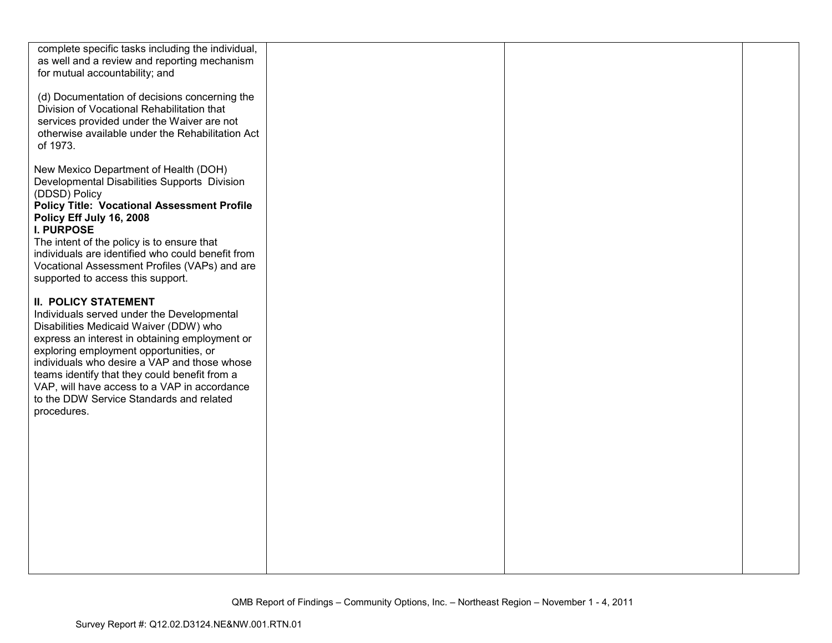| complete specific tasks including the individual,<br>as well and a review and reporting mechanism<br>for mutual accountability; and                                                                                                                                                                                                                                                                                         |  |  |
|-----------------------------------------------------------------------------------------------------------------------------------------------------------------------------------------------------------------------------------------------------------------------------------------------------------------------------------------------------------------------------------------------------------------------------|--|--|
| (d) Documentation of decisions concerning the<br>Division of Vocational Rehabilitation that<br>services provided under the Waiver are not<br>otherwise available under the Rehabilitation Act<br>of 1973.                                                                                                                                                                                                                   |  |  |
| New Mexico Department of Health (DOH)<br>Developmental Disabilities Supports Division<br>(DDSD) Policy<br><b>Policy Title: Vocational Assessment Profile</b><br>Policy Eff July 16, 2008<br><b>I. PURPOSE</b><br>The intent of the policy is to ensure that<br>individuals are identified who could benefit from<br>Vocational Assessment Profiles (VAPs) and are<br>supported to access this support.                      |  |  |
| <b>II. POLICY STATEMENT</b><br>Individuals served under the Developmental<br>Disabilities Medicaid Waiver (DDW) who<br>express an interest in obtaining employment or<br>exploring employment opportunities, or<br>individuals who desire a VAP and those whose<br>teams identify that they could benefit from a<br>VAP, will have access to a VAP in accordance<br>to the DDW Service Standards and related<br>procedures. |  |  |
|                                                                                                                                                                                                                                                                                                                                                                                                                             |  |  |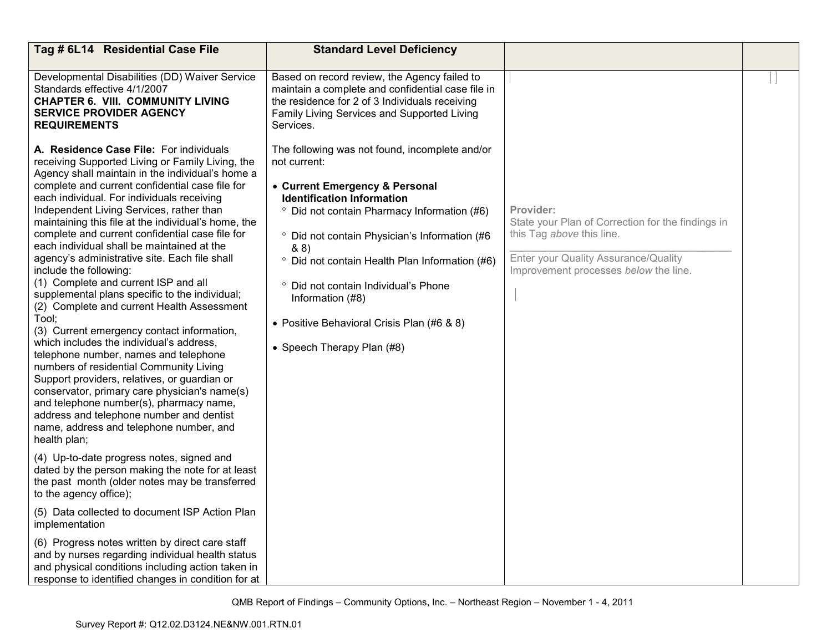| Tag # 6L14 Residential Case File                                                                                                                                                                                                                                                                                                                                                                                                                                                                                                                                                                                                                                                                                                                                                                                                                                                                                                                                                                                                                                                                                                                                                                                                                                                                                                                 | <b>Standard Level Deficiency</b>                                                                                                                                                                                                                                                                                                                                                                                                                                         |                                                                                                                                                                              |  |
|--------------------------------------------------------------------------------------------------------------------------------------------------------------------------------------------------------------------------------------------------------------------------------------------------------------------------------------------------------------------------------------------------------------------------------------------------------------------------------------------------------------------------------------------------------------------------------------------------------------------------------------------------------------------------------------------------------------------------------------------------------------------------------------------------------------------------------------------------------------------------------------------------------------------------------------------------------------------------------------------------------------------------------------------------------------------------------------------------------------------------------------------------------------------------------------------------------------------------------------------------------------------------------------------------------------------------------------------------|--------------------------------------------------------------------------------------------------------------------------------------------------------------------------------------------------------------------------------------------------------------------------------------------------------------------------------------------------------------------------------------------------------------------------------------------------------------------------|------------------------------------------------------------------------------------------------------------------------------------------------------------------------------|--|
| Developmental Disabilities (DD) Waiver Service<br>Standards effective 4/1/2007<br><b>CHAPTER 6. VIII. COMMUNITY LIVING</b><br><b>SERVICE PROVIDER AGENCY</b><br><b>REQUIREMENTS</b>                                                                                                                                                                                                                                                                                                                                                                                                                                                                                                                                                                                                                                                                                                                                                                                                                                                                                                                                                                                                                                                                                                                                                              | Based on record review, the Agency failed to<br>maintain a complete and confidential case file in<br>the residence for 2 of 3 Individuals receiving<br>Family Living Services and Supported Living<br>Services.                                                                                                                                                                                                                                                          |                                                                                                                                                                              |  |
| A. Residence Case File: For individuals<br>receiving Supported Living or Family Living, the<br>Agency shall maintain in the individual's home a<br>complete and current confidential case file for<br>each individual. For individuals receiving<br>Independent Living Services, rather than<br>maintaining this file at the individual's home, the<br>complete and current confidential case file for<br>each individual shall be maintained at the<br>agency's administrative site. Each file shall<br>include the following:<br>(1) Complete and current ISP and all<br>supplemental plans specific to the individual;<br>(2) Complete and current Health Assessment<br>Tool;<br>(3) Current emergency contact information,<br>which includes the individual's address,<br>telephone number, names and telephone<br>numbers of residential Community Living<br>Support providers, relatives, or guardian or<br>conservator, primary care physician's name(s)<br>and telephone number(s), pharmacy name,<br>address and telephone number and dentist<br>name, address and telephone number, and<br>health plan;<br>(4) Up-to-date progress notes, signed and<br>dated by the person making the note for at least<br>the past month (older notes may be transferred<br>to the agency office);<br>(5) Data collected to document ISP Action Plan | The following was not found, incomplete and/or<br>not current:<br>• Current Emergency & Personal<br><b>Identification Information</b><br><sup>o</sup> Did not contain Pharmacy Information (#6)<br><sup>o</sup> Did not contain Physician's Information (#6<br>& 8)<br><sup>o</sup> Did not contain Health Plan Information (#6)<br>° Did not contain Individual's Phone<br>Information (#8)<br>• Positive Behavioral Crisis Plan (#6 & 8)<br>• Speech Therapy Plan (#8) | Provider:<br>State your Plan of Correction for the findings in<br>this Tag above this line.<br>Enter your Quality Assurance/Quality<br>Improvement processes below the line. |  |
| implementation<br>(6) Progress notes written by direct care staff<br>and by nurses regarding individual health status<br>and physical conditions including action taken in<br>response to identified changes in condition for at                                                                                                                                                                                                                                                                                                                                                                                                                                                                                                                                                                                                                                                                                                                                                                                                                                                                                                                                                                                                                                                                                                                 |                                                                                                                                                                                                                                                                                                                                                                                                                                                                          |                                                                                                                                                                              |  |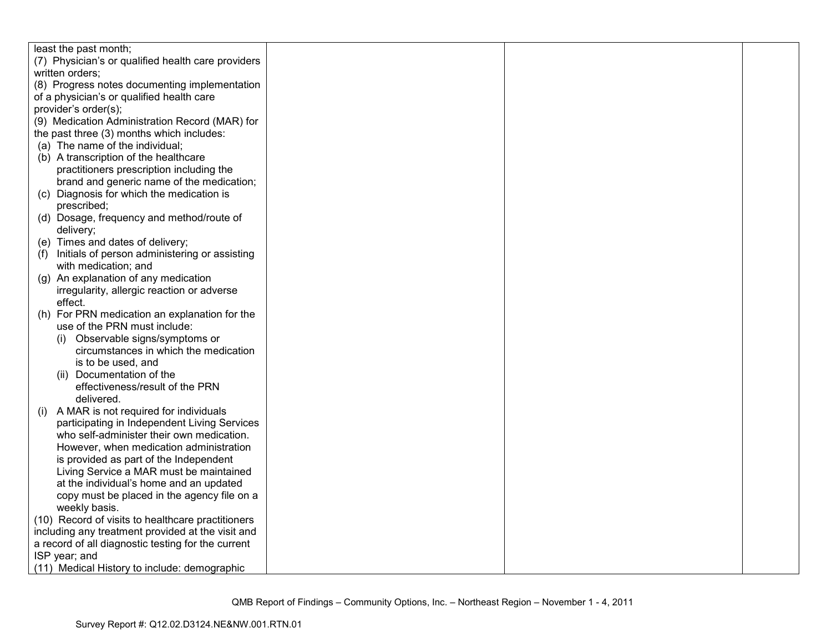| least the past month;                               |  |  |
|-----------------------------------------------------|--|--|
| (7) Physician's or qualified health care providers  |  |  |
| written orders;                                     |  |  |
| (8) Progress notes documenting implementation       |  |  |
| of a physician's or qualified health care           |  |  |
| provider's order(s);                                |  |  |
| (9) Medication Administration Record (MAR) for      |  |  |
| the past three (3) months which includes:           |  |  |
| (a) The name of the individual;                     |  |  |
| (b) A transcription of the healthcare               |  |  |
| practitioners prescription including the            |  |  |
| brand and generic name of the medication;           |  |  |
| (c) Diagnosis for which the medication is           |  |  |
| prescribed;                                         |  |  |
| (d) Dosage, frequency and method/route of           |  |  |
| delivery;                                           |  |  |
| (e) Times and dates of delivery;                    |  |  |
| (f) Initials of person administering or assisting   |  |  |
| with medication; and                                |  |  |
| (g) An explanation of any medication                |  |  |
| irregularity, allergic reaction or adverse          |  |  |
| effect.                                             |  |  |
| (h) For PRN medication an explanation for the       |  |  |
| use of the PRN must include:                        |  |  |
| (i) Observable signs/symptoms or                    |  |  |
| circumstances in which the medication               |  |  |
| is to be used, and                                  |  |  |
| (ii) Documentation of the                           |  |  |
| effectiveness/result of the PRN                     |  |  |
| delivered.                                          |  |  |
| A MAR is not required for individuals               |  |  |
| (1)<br>participating in Independent Living Services |  |  |
| who self-administer their own medication.           |  |  |
| However, when medication administration             |  |  |
|                                                     |  |  |
| is provided as part of the Independent              |  |  |
| Living Service a MAR must be maintained             |  |  |
| at the individual's home and an updated             |  |  |
| copy must be placed in the agency file on a         |  |  |
| weekly basis.                                       |  |  |
| (10) Record of visits to healthcare practitioners   |  |  |
| including any treatment provided at the visit and   |  |  |
| a record of all diagnostic testing for the current  |  |  |
| ISP year; and                                       |  |  |
| (11) Medical History to include: demographic        |  |  |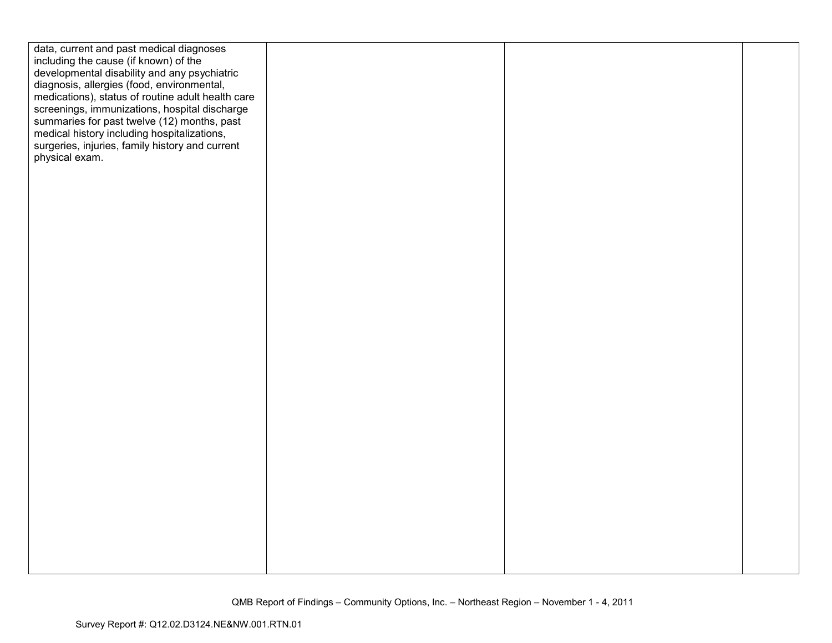| data, current and past medical diagnoses<br>including the cause (if known) of the<br>developmental disability and any psychiatric<br>diagnosis, allergies (food, environmental,<br>medications), status of routine adult health care<br>screenings, immunizations, hospital discharge<br>summaries for past twelve (12) months, past<br>medical history including hospitalizations,<br>surgeries, injuries, family history and current<br>physical exam. |  |  |
|----------------------------------------------------------------------------------------------------------------------------------------------------------------------------------------------------------------------------------------------------------------------------------------------------------------------------------------------------------------------------------------------------------------------------------------------------------|--|--|
|                                                                                                                                                                                                                                                                                                                                                                                                                                                          |  |  |
|                                                                                                                                                                                                                                                                                                                                                                                                                                                          |  |  |
|                                                                                                                                                                                                                                                                                                                                                                                                                                                          |  |  |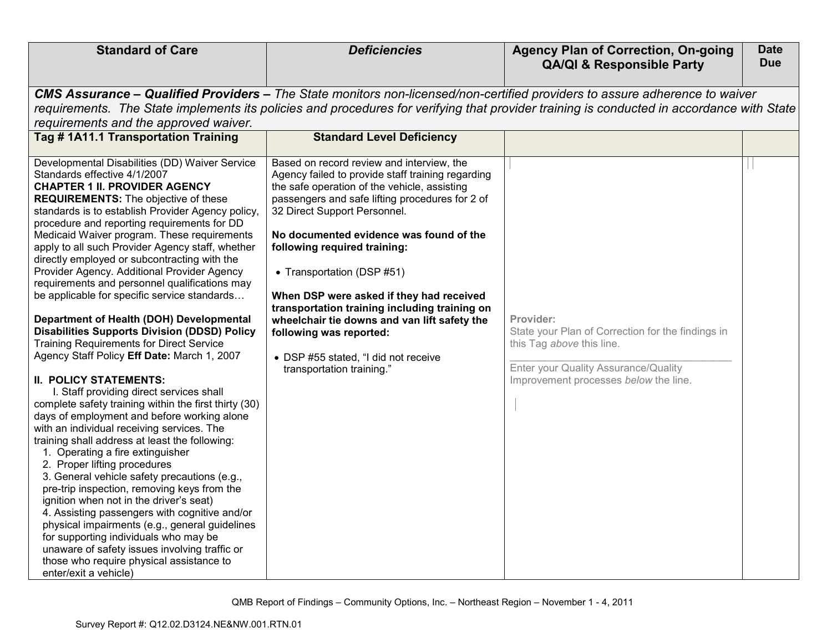| <b>Standard of Care</b>                                                                                                                                                                                                                                                                                                                                                                                                                                                                                                                                                                                                                                                                                                                                                                                                                                                                                                                                                                                                                                                                                                                                                                                                    | <b>Deficiencies</b>                                                                                                                                                                                                                                                                                                                                                                                                                                                                                                                                                                                                         | <b>Agency Plan of Correction, On-going</b><br><b>QA/QI &amp; Responsible Party</b>                                                                                                                                                                                                                                                                                                                                                                       | <b>Date</b><br><b>Due</b> |
|----------------------------------------------------------------------------------------------------------------------------------------------------------------------------------------------------------------------------------------------------------------------------------------------------------------------------------------------------------------------------------------------------------------------------------------------------------------------------------------------------------------------------------------------------------------------------------------------------------------------------------------------------------------------------------------------------------------------------------------------------------------------------------------------------------------------------------------------------------------------------------------------------------------------------------------------------------------------------------------------------------------------------------------------------------------------------------------------------------------------------------------------------------------------------------------------------------------------------|-----------------------------------------------------------------------------------------------------------------------------------------------------------------------------------------------------------------------------------------------------------------------------------------------------------------------------------------------------------------------------------------------------------------------------------------------------------------------------------------------------------------------------------------------------------------------------------------------------------------------------|----------------------------------------------------------------------------------------------------------------------------------------------------------------------------------------------------------------------------------------------------------------------------------------------------------------------------------------------------------------------------------------------------------------------------------------------------------|---------------------------|
| requirements and the approved waiver.<br>Tag #1A11.1 Transportation Training<br>Developmental Disabilities (DD) Waiver Service<br>Standards effective 4/1/2007<br><b>CHAPTER 1 II. PROVIDER AGENCY</b><br><b>REQUIREMENTS:</b> The objective of these<br>standards is to establish Provider Agency policy,<br>procedure and reporting requirements for DD<br>Medicaid Waiver program. These requirements<br>apply to all such Provider Agency staff, whether<br>directly employed or subcontracting with the<br>Provider Agency. Additional Provider Agency<br>requirements and personnel qualifications may<br>be applicable for specific service standards<br>Department of Health (DOH) Developmental<br><b>Disabilities Supports Division (DDSD) Policy</b><br><b>Training Requirements for Direct Service</b><br>Agency Staff Policy Eff Date: March 1, 2007<br><b>II. POLICY STATEMENTS:</b><br>I. Staff providing direct services shall<br>complete safety training within the first thirty (30)<br>days of employment and before working alone<br>with an individual receiving services. The<br>training shall address at least the following:<br>1. Operating a fire extinguisher<br>2. Proper lifting procedures | <b>Standard Level Deficiency</b><br>Based on record review and interview, the<br>Agency failed to provide staff training regarding<br>the safe operation of the vehicle, assisting<br>passengers and safe lifting procedures for 2 of<br>32 Direct Support Personnel.<br>No documented evidence was found of the<br>following required training:<br>• Transportation (DSP #51)<br>When DSP were asked if they had received<br>transportation training including training on<br>wheelchair tie downs and van lift safety the<br>following was reported:<br>• DSP #55 stated, "I did not receive<br>transportation training." | CMS Assurance – Qualified Providers – The State monitors non-licensed/non-certified providers to assure adherence to waiver<br>requirements. The State implements its policies and procedures for verifying that provider training is conducted in accordance with State<br>Provider:<br>State your Plan of Correction for the findings in<br>this Tag above this line.<br>Enter your Quality Assurance/Quality<br>Improvement processes below the line. |                           |
| 3. General vehicle safety precautions (e.g.,<br>pre-trip inspection, removing keys from the<br>ignition when not in the driver's seat)<br>4. Assisting passengers with cognitive and/or<br>physical impairments (e.g., general guidelines<br>for supporting individuals who may be<br>unaware of safety issues involving traffic or<br>those who require physical assistance to<br>enter/exit a vehicle)                                                                                                                                                                                                                                                                                                                                                                                                                                                                                                                                                                                                                                                                                                                                                                                                                   |                                                                                                                                                                                                                                                                                                                                                                                                                                                                                                                                                                                                                             |                                                                                                                                                                                                                                                                                                                                                                                                                                                          |                           |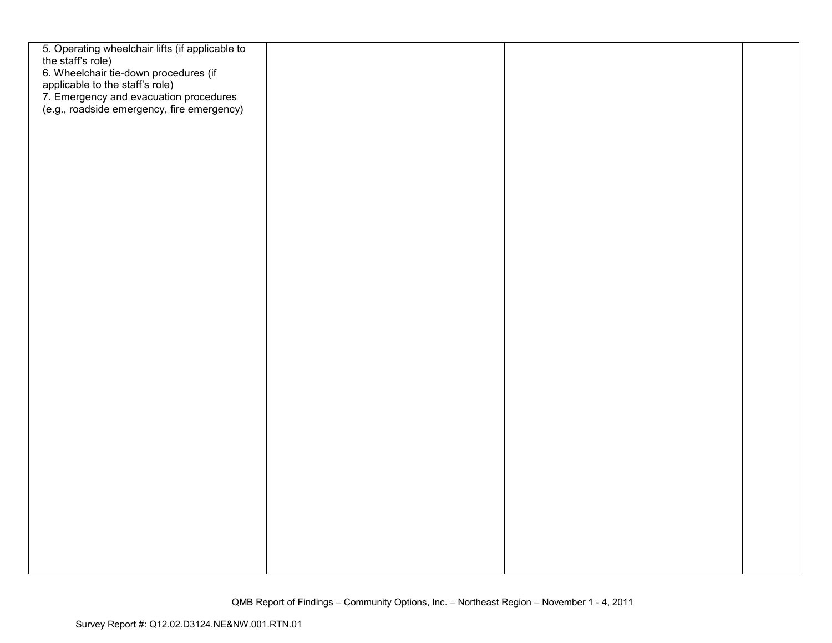| 5. Operating wheelchair lifts (if applicable to                                                                                                                  |  |  |
|------------------------------------------------------------------------------------------------------------------------------------------------------------------|--|--|
| the staff's role)                                                                                                                                                |  |  |
| 6. Wheelchair tie-down procedures (if<br>applicable to the staff's role)<br>7. Emergency and evacuation procedures<br>(e.g., roadside emergency, fire emergency) |  |  |
|                                                                                                                                                                  |  |  |
|                                                                                                                                                                  |  |  |
|                                                                                                                                                                  |  |  |
|                                                                                                                                                                  |  |  |
|                                                                                                                                                                  |  |  |
|                                                                                                                                                                  |  |  |
|                                                                                                                                                                  |  |  |
|                                                                                                                                                                  |  |  |
|                                                                                                                                                                  |  |  |
|                                                                                                                                                                  |  |  |
|                                                                                                                                                                  |  |  |
|                                                                                                                                                                  |  |  |
|                                                                                                                                                                  |  |  |
|                                                                                                                                                                  |  |  |
|                                                                                                                                                                  |  |  |
|                                                                                                                                                                  |  |  |
|                                                                                                                                                                  |  |  |
|                                                                                                                                                                  |  |  |
|                                                                                                                                                                  |  |  |
|                                                                                                                                                                  |  |  |
|                                                                                                                                                                  |  |  |
|                                                                                                                                                                  |  |  |
|                                                                                                                                                                  |  |  |
|                                                                                                                                                                  |  |  |
|                                                                                                                                                                  |  |  |
|                                                                                                                                                                  |  |  |
|                                                                                                                                                                  |  |  |
|                                                                                                                                                                  |  |  |
|                                                                                                                                                                  |  |  |
|                                                                                                                                                                  |  |  |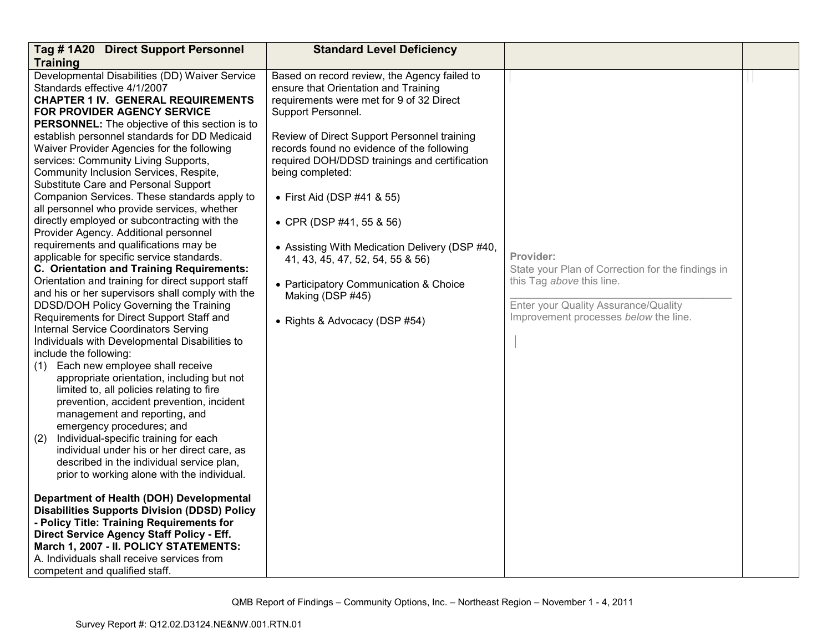| Tag #1A20 Direct Support Personnel                                                                                                                                                                                                                                                                                                                                                                                                                                                                                                                                                                                                                                                                                                                                                                                                                                                                                                                                                                                                                                                                                                                                                                                                                                                                                                                                                                                                                                                                                                         | <b>Standard Level Deficiency</b>                                                                                                                                                                                                                                                                                                                                                                                                                                                                                                                                        |                                                                                                                                                                              |  |
|--------------------------------------------------------------------------------------------------------------------------------------------------------------------------------------------------------------------------------------------------------------------------------------------------------------------------------------------------------------------------------------------------------------------------------------------------------------------------------------------------------------------------------------------------------------------------------------------------------------------------------------------------------------------------------------------------------------------------------------------------------------------------------------------------------------------------------------------------------------------------------------------------------------------------------------------------------------------------------------------------------------------------------------------------------------------------------------------------------------------------------------------------------------------------------------------------------------------------------------------------------------------------------------------------------------------------------------------------------------------------------------------------------------------------------------------------------------------------------------------------------------------------------------------|-------------------------------------------------------------------------------------------------------------------------------------------------------------------------------------------------------------------------------------------------------------------------------------------------------------------------------------------------------------------------------------------------------------------------------------------------------------------------------------------------------------------------------------------------------------------------|------------------------------------------------------------------------------------------------------------------------------------------------------------------------------|--|
| <b>Training</b>                                                                                                                                                                                                                                                                                                                                                                                                                                                                                                                                                                                                                                                                                                                                                                                                                                                                                                                                                                                                                                                                                                                                                                                                                                                                                                                                                                                                                                                                                                                            |                                                                                                                                                                                                                                                                                                                                                                                                                                                                                                                                                                         |                                                                                                                                                                              |  |
| Developmental Disabilities (DD) Waiver Service<br>Standards effective 4/1/2007<br>CHAPTER 1 IV.  GENERAL REQUIREMENTS<br><b>FOR PROVIDER AGENCY SERVICE</b><br><b>PERSONNEL:</b> The objective of this section is to<br>establish personnel standards for DD Medicaid<br>Waiver Provider Agencies for the following<br>services: Community Living Supports,<br>Community Inclusion Services, Respite,<br>Substitute Care and Personal Support<br>Companion Services. These standards apply to<br>all personnel who provide services, whether<br>directly employed or subcontracting with the<br>Provider Agency. Additional personnel<br>requirements and qualifications may be<br>applicable for specific service standards.<br>C. Orientation and Training Requirements:<br>Orientation and training for direct support staff<br>and his or her supervisors shall comply with the<br>DDSD/DOH Policy Governing the Training<br>Requirements for Direct Support Staff and<br>Internal Service Coordinators Serving<br>Individuals with Developmental Disabilities to<br>include the following:<br>Each new employee shall receive<br>(1)<br>appropriate orientation, including but not<br>limited to, all policies relating to fire<br>prevention, accident prevention, incident<br>management and reporting, and<br>emergency procedures; and<br>(2)<br>Individual-specific training for each<br>individual under his or her direct care, as<br>described in the individual service plan,<br>prior to working alone with the individual. | Based on record review, the Agency failed to<br>ensure that Orientation and Training<br>requirements were met for 9 of 32 Direct<br>Support Personnel.<br>Review of Direct Support Personnel training<br>records found no evidence of the following<br>required DOH/DDSD trainings and certification<br>being completed:<br>• First Aid (DSP #41 & 55)<br>• CPR (DSP #41, 55 & 56)<br>• Assisting With Medication Delivery (DSP #40,<br>41, 43, 45, 47, 52, 54, 55 & 56)<br>• Participatory Communication & Choice<br>Making (DSP #45)<br>• Rights & Advocacy (DSP #54) | Provider:<br>State your Plan of Correction for the findings in<br>this Tag above this line.<br>Enter your Quality Assurance/Quality<br>Improvement processes below the line. |  |
| Department of Health (DOH) Developmental<br><b>Disabilities Supports Division (DDSD) Policy</b><br>- Policy Title: Training Requirements for<br>Direct Service Agency Staff Policy - Eff.<br>March 1, 2007 - II. POLICY STATEMENTS:                                                                                                                                                                                                                                                                                                                                                                                                                                                                                                                                                                                                                                                                                                                                                                                                                                                                                                                                                                                                                                                                                                                                                                                                                                                                                                        |                                                                                                                                                                                                                                                                                                                                                                                                                                                                                                                                                                         |                                                                                                                                                                              |  |
| A. Individuals shall receive services from<br>competent and qualified staff.                                                                                                                                                                                                                                                                                                                                                                                                                                                                                                                                                                                                                                                                                                                                                                                                                                                                                                                                                                                                                                                                                                                                                                                                                                                                                                                                                                                                                                                               |                                                                                                                                                                                                                                                                                                                                                                                                                                                                                                                                                                         |                                                                                                                                                                              |  |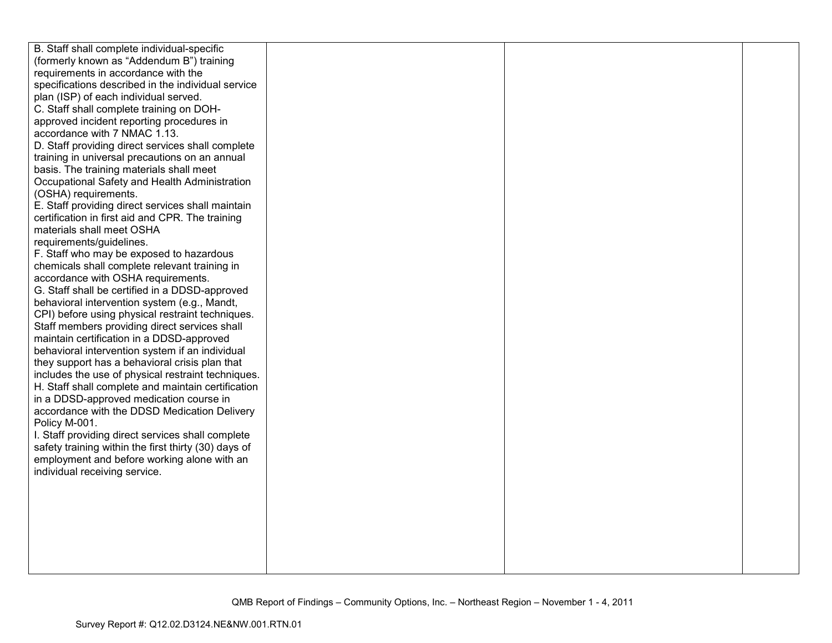| B. Staff shall complete individual-specific          |  |  |
|------------------------------------------------------|--|--|
| (formerly known as "Addendum B") training            |  |  |
| requirements in accordance with the                  |  |  |
| specifications described in the individual service   |  |  |
| plan (ISP) of each individual served.                |  |  |
| C. Staff shall complete training on DOH-             |  |  |
| approved incident reporting procedures in            |  |  |
| accordance with 7 NMAC 1.13.                         |  |  |
| D. Staff providing direct services shall complete    |  |  |
| training in universal precautions on an annual       |  |  |
| basis. The training materials shall meet             |  |  |
| Occupational Safety and Health Administration        |  |  |
| (OSHA) requirements.                                 |  |  |
| E. Staff providing direct services shall maintain    |  |  |
| certification in first aid and CPR. The training     |  |  |
| materials shall meet OSHA                            |  |  |
| requirements/guidelines.                             |  |  |
| F. Staff who may be exposed to hazardous             |  |  |
| chemicals shall complete relevant training in        |  |  |
| accordance with OSHA requirements.                   |  |  |
| G. Staff shall be certified in a DDSD-approved       |  |  |
| behavioral intervention system (e.g., Mandt,         |  |  |
| CPI) before using physical restraint techniques.     |  |  |
| Staff members providing direct services shall        |  |  |
| maintain certification in a DDSD-approved            |  |  |
| behavioral intervention system if an individual      |  |  |
| they support has a behavioral crisis plan that       |  |  |
| includes the use of physical restraint techniques.   |  |  |
| H. Staff shall complete and maintain certification   |  |  |
| in a DDSD-approved medication course in              |  |  |
| accordance with the DDSD Medication Delivery         |  |  |
| Policy M-001.                                        |  |  |
| I. Staff providing direct services shall complete    |  |  |
| safety training within the first thirty (30) days of |  |  |
| employment and before working alone with an          |  |  |
| individual receiving service.                        |  |  |
|                                                      |  |  |
|                                                      |  |  |
|                                                      |  |  |
|                                                      |  |  |
|                                                      |  |  |
|                                                      |  |  |
|                                                      |  |  |
|                                                      |  |  |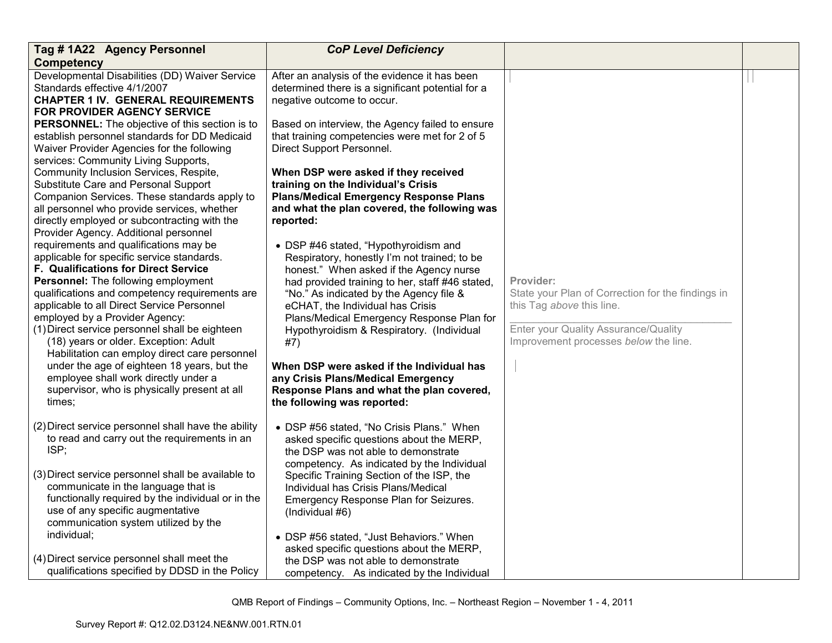| Tag #1A22 Agency Personnel                                                                                                                                                                                                                                                                                                                                                                                                                                                                                                                                                                                                                                                                                                         | <b>CoP Level Deficiency</b>                                                                                                                                                                                                                                                                                                                                                                                                                                                                                                                                      |                                                                                                                                                                              |  |
|------------------------------------------------------------------------------------------------------------------------------------------------------------------------------------------------------------------------------------------------------------------------------------------------------------------------------------------------------------------------------------------------------------------------------------------------------------------------------------------------------------------------------------------------------------------------------------------------------------------------------------------------------------------------------------------------------------------------------------|------------------------------------------------------------------------------------------------------------------------------------------------------------------------------------------------------------------------------------------------------------------------------------------------------------------------------------------------------------------------------------------------------------------------------------------------------------------------------------------------------------------------------------------------------------------|------------------------------------------------------------------------------------------------------------------------------------------------------------------------------|--|
| <b>Competency</b>                                                                                                                                                                                                                                                                                                                                                                                                                                                                                                                                                                                                                                                                                                                  |                                                                                                                                                                                                                                                                                                                                                                                                                                                                                                                                                                  |                                                                                                                                                                              |  |
| Developmental Disabilities (DD) Waiver Service<br>Standards effective 4/1/2007<br><b>CHAPTER 1 IV. GENERAL REQUIREMENTS</b><br>FOR PROVIDER AGENCY SERVICE<br><b>PERSONNEL:</b> The objective of this section is to<br>establish personnel standards for DD Medicaid<br>Waiver Provider Agencies for the following<br>services: Community Living Supports,                                                                                                                                                                                                                                                                                                                                                                         | After an analysis of the evidence it has been<br>determined there is a significant potential for a<br>negative outcome to occur.<br>Based on interview, the Agency failed to ensure<br>that training competencies were met for 2 of 5<br>Direct Support Personnel.                                                                                                                                                                                                                                                                                               |                                                                                                                                                                              |  |
| Community Inclusion Services, Respite,<br>Substitute Care and Personal Support<br>Companion Services. These standards apply to<br>all personnel who provide services, whether<br>directly employed or subcontracting with the<br>Provider Agency. Additional personnel<br>requirements and qualifications may be<br>applicable for specific service standards.<br>F. Qualifications for Direct Service<br><b>Personnel:</b> The following employment<br>qualifications and competency requirements are<br>applicable to all Direct Service Personnel<br>employed by a Provider Agency:<br>(1) Direct service personnel shall be eighteen<br>(18) years or older. Exception: Adult<br>Habilitation can employ direct care personnel | When DSP were asked if they received<br>training on the Individual's Crisis<br><b>Plans/Medical Emergency Response Plans</b><br>and what the plan covered, the following was<br>reported:<br>• DSP #46 stated, "Hypothyroidism and<br>Respiratory, honestly I'm not trained; to be<br>honest." When asked if the Agency nurse<br>had provided training to her, staff #46 stated,<br>"No." As indicated by the Agency file &<br>eCHAT, the Individual has Crisis<br>Plans/Medical Emergency Response Plan for<br>Hypothyroidism & Respiratory. (Individual<br>#7) | Provider:<br>State your Plan of Correction for the findings in<br>this Tag above this line.<br>Enter your Quality Assurance/Quality<br>Improvement processes below the line. |  |
| under the age of eighteen 18 years, but the<br>employee shall work directly under a<br>supervisor, who is physically present at all<br>times:                                                                                                                                                                                                                                                                                                                                                                                                                                                                                                                                                                                      | When DSP were asked if the Individual has<br>any Crisis Plans/Medical Emergency<br>Response Plans and what the plan covered,<br>the following was reported:                                                                                                                                                                                                                                                                                                                                                                                                      |                                                                                                                                                                              |  |
| (2) Direct service personnel shall have the ability<br>to read and carry out the requirements in an<br>ISP;<br>(3) Direct service personnel shall be available to<br>communicate in the language that is<br>functionally required by the individual or in the                                                                                                                                                                                                                                                                                                                                                                                                                                                                      | • DSP #56 stated, "No Crisis Plans." When<br>asked specific questions about the MERP,<br>the DSP was not able to demonstrate<br>competency. As indicated by the Individual<br>Specific Training Section of the ISP, the<br>Individual has Crisis Plans/Medical<br>Emergency Response Plan for Seizures.                                                                                                                                                                                                                                                          |                                                                                                                                                                              |  |
| use of any specific augmentative<br>communication system utilized by the<br>individual;<br>(4) Direct service personnel shall meet the<br>qualifications specified by DDSD in the Policy                                                                                                                                                                                                                                                                                                                                                                                                                                                                                                                                           | (Individual #6)<br>• DSP #56 stated, "Just Behaviors." When<br>asked specific questions about the MERP,<br>the DSP was not able to demonstrate<br>competency. As indicated by the Individual                                                                                                                                                                                                                                                                                                                                                                     |                                                                                                                                                                              |  |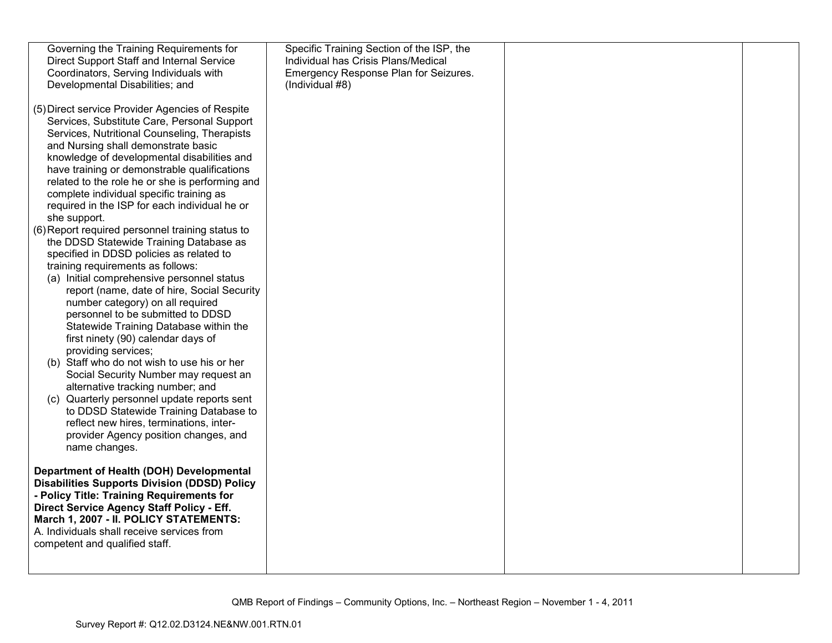| Governing the Training Requirements for                                              | Specific Training Section of the ISP, the |  |
|--------------------------------------------------------------------------------------|-------------------------------------------|--|
| Direct Support Staff and Internal Service                                            | Individual has Crisis Plans/Medical       |  |
| Coordinators, Serving Individuals with                                               | Emergency Response Plan for Seizures.     |  |
| Developmental Disabilities; and                                                      | (Individual #8)                           |  |
|                                                                                      |                                           |  |
| (5) Direct service Provider Agencies of Respite                                      |                                           |  |
| Services, Substitute Care, Personal Support                                          |                                           |  |
| Services, Nutritional Counseling, Therapists                                         |                                           |  |
| and Nursing shall demonstrate basic                                                  |                                           |  |
| knowledge of developmental disabilities and                                          |                                           |  |
| have training or demonstrable qualifications                                         |                                           |  |
| related to the role he or she is performing and                                      |                                           |  |
| complete individual specific training as                                             |                                           |  |
| required in the ISP for each individual he or                                        |                                           |  |
| she support.                                                                         |                                           |  |
| (6) Report required personnel training status to                                     |                                           |  |
| the DDSD Statewide Training Database as                                              |                                           |  |
| specified in DDSD policies as related to                                             |                                           |  |
| training requirements as follows:                                                    |                                           |  |
| (a) Initial comprehensive personnel status                                           |                                           |  |
| report (name, date of hire, Social Security                                          |                                           |  |
| number category) on all required                                                     |                                           |  |
| personnel to be submitted to DDSD                                                    |                                           |  |
| Statewide Training Database within the                                               |                                           |  |
| first ninety (90) calendar days of                                                   |                                           |  |
| providing services;                                                                  |                                           |  |
| (b) Staff who do not wish to use his or her<br>Social Security Number may request an |                                           |  |
| alternative tracking number; and                                                     |                                           |  |
| (c) Quarterly personnel update reports sent                                          |                                           |  |
| to DDSD Statewide Training Database to                                               |                                           |  |
| reflect new hires, terminations, inter-                                              |                                           |  |
| provider Agency position changes, and                                                |                                           |  |
| name changes.                                                                        |                                           |  |
|                                                                                      |                                           |  |
| Department of Health (DOH) Developmental                                             |                                           |  |
| <b>Disabilities Supports Division (DDSD) Policy</b>                                  |                                           |  |
| - Policy Title: Training Requirements for                                            |                                           |  |
| Direct Service Agency Staff Policy - Eff.                                            |                                           |  |
| March 1, 2007 - II. POLICY STATEMENTS:                                               |                                           |  |
| A. Individuals shall receive services from                                           |                                           |  |
| competent and qualified staff.                                                       |                                           |  |
|                                                                                      |                                           |  |
|                                                                                      |                                           |  |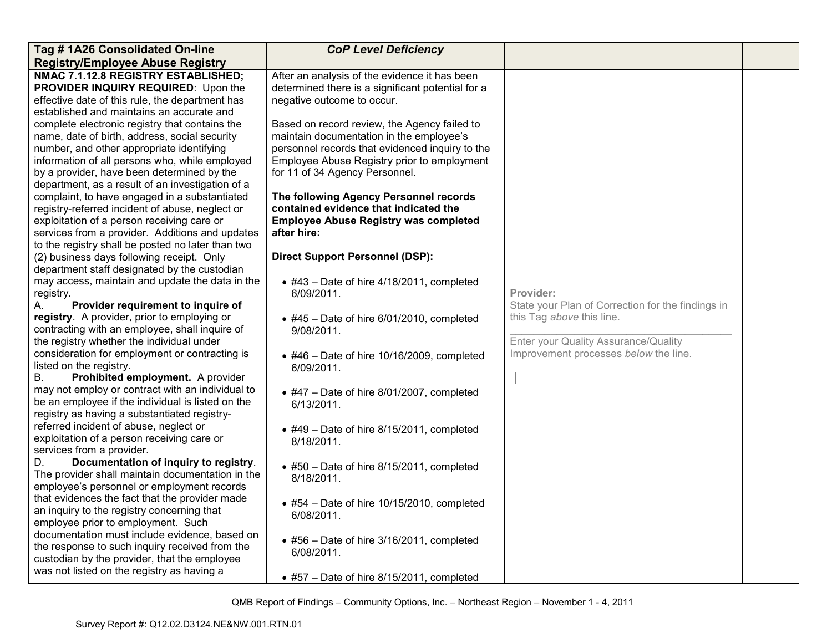| Tag #1A26 Consolidated On-line                                                                  | <b>CoP Level Deficiency</b>                                     |                                                   |  |
|-------------------------------------------------------------------------------------------------|-----------------------------------------------------------------|---------------------------------------------------|--|
| <b>Registry/Employee Abuse Registry</b>                                                         |                                                                 |                                                   |  |
| NMAC 7.1.12.8 REGISTRY ESTABLISHED;                                                             | After an analysis of the evidence it has been                   |                                                   |  |
| PROVIDER INQUIRY REQUIRED: Upon the                                                             | determined there is a significant potential for a               |                                                   |  |
| effective date of this rule, the department has                                                 | negative outcome to occur.                                      |                                                   |  |
| established and maintains an accurate and                                                       |                                                                 |                                                   |  |
| complete electronic registry that contains the                                                  | Based on record review, the Agency failed to                    |                                                   |  |
| name, date of birth, address, social security                                                   | maintain documentation in the employee's                        |                                                   |  |
| number, and other appropriate identifying                                                       | personnel records that evidenced inquiry to the                 |                                                   |  |
| information of all persons who, while employed                                                  | Employee Abuse Registry prior to employment                     |                                                   |  |
| by a provider, have been determined by the                                                      | for 11 of 34 Agency Personnel.                                  |                                                   |  |
| department, as a result of an investigation of a                                                |                                                                 |                                                   |  |
| complaint, to have engaged in a substantiated                                                   | The following Agency Personnel records                          |                                                   |  |
| registry-referred incident of abuse, neglect or                                                 | contained evidence that indicated the                           |                                                   |  |
| exploitation of a person receiving care or                                                      | <b>Employee Abuse Registry was completed</b>                    |                                                   |  |
| services from a provider. Additions and updates                                                 | after hire:                                                     |                                                   |  |
| to the registry shall be posted no later than two                                               |                                                                 |                                                   |  |
| (2) business days following receipt. Only                                                       | <b>Direct Support Personnel (DSP):</b>                          |                                                   |  |
| department staff designated by the custodian<br>may access, maintain and update the data in the |                                                                 |                                                   |  |
| registry.                                                                                       | $\bullet$ #43 - Date of hire 4/18/2011, completed<br>6/09/2011. | Provider:                                         |  |
| Provider requirement to inquire of<br>А.                                                        |                                                                 | State your Plan of Correction for the findings in |  |
| registry. A provider, prior to employing or                                                     | $\bullet$ #45 - Date of hire 6/01/2010, completed               | this Tag above this line.                         |  |
| contracting with an employee, shall inquire of                                                  | 9/08/2011.                                                      |                                                   |  |
| the registry whether the individual under                                                       |                                                                 | Enter your Quality Assurance/Quality              |  |
| consideration for employment or contracting is                                                  | $\bullet$ #46 - Date of hire 10/16/2009, completed              | Improvement processes below the line.             |  |
| listed on the registry.                                                                         | 6/09/2011.                                                      |                                                   |  |
| Prohibited employment. A provider<br>В.                                                         |                                                                 |                                                   |  |
| may not employ or contract with an individual to                                                | $\bullet$ #47 - Date of hire 8/01/2007, completed               |                                                   |  |
| be an employee if the individual is listed on the                                               | 6/13/2011.                                                      |                                                   |  |
| registry as having a substantiated registry-                                                    |                                                                 |                                                   |  |
| referred incident of abuse, neglect or                                                          | $\bullet$ #49 - Date of hire 8/15/2011, completed               |                                                   |  |
| exploitation of a person receiving care or                                                      | 8/18/2011.                                                      |                                                   |  |
| services from a provider.                                                                       |                                                                 |                                                   |  |
| Documentation of inquiry to registry.<br>D.                                                     | $\bullet$ #50 - Date of hire 8/15/2011, completed               |                                                   |  |
| The provider shall maintain documentation in the                                                | 8/18/2011.                                                      |                                                   |  |
| employee's personnel or employment records                                                      |                                                                 |                                                   |  |
| that evidences the fact that the provider made                                                  | $\bullet$ #54 - Date of hire 10/15/2010, completed              |                                                   |  |
| an inquiry to the registry concerning that                                                      | 6/08/2011.                                                      |                                                   |  |
| employee prior to employment. Such                                                              |                                                                 |                                                   |  |
| documentation must include evidence, based on                                                   | • #56 - Date of hire 3/16/2011, completed                       |                                                   |  |
| the response to such inquiry received from the                                                  | 6/08/2011.                                                      |                                                   |  |
| custodian by the provider, that the employee<br>was not listed on the registry as having a      |                                                                 |                                                   |  |
|                                                                                                 | $\bullet$ #57 - Date of hire 8/15/2011, completed               |                                                   |  |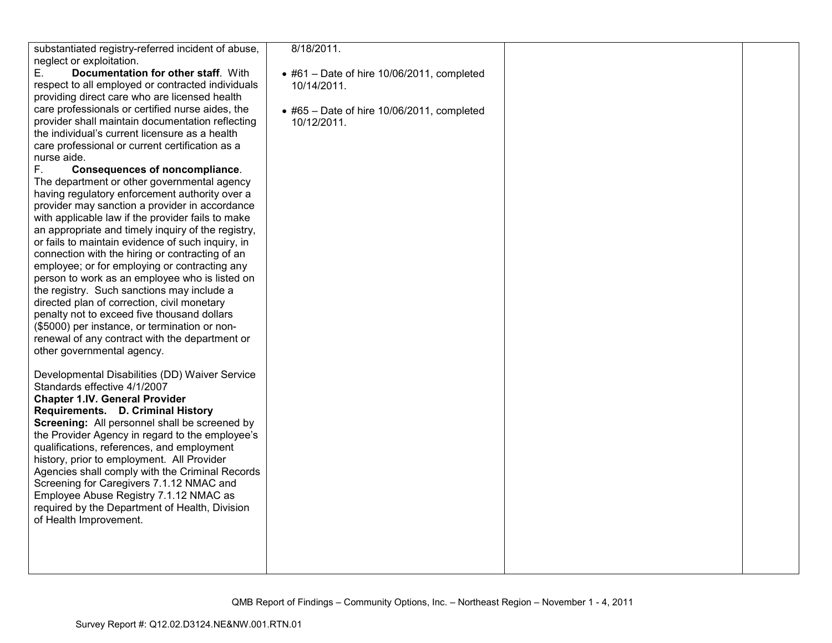| substantiated registry-referred incident of abuse, | 8/18/2011.                                         |  |
|----------------------------------------------------|----------------------------------------------------|--|
| neglect or exploitation.                           |                                                    |  |
| Documentation for other staff. With<br>Е.          | $\bullet$ #61 – Date of hire 10/06/2011, completed |  |
| respect to all employed or contracted individuals  | 10/14/2011.                                        |  |
| providing direct care who are licensed health      |                                                    |  |
| care professionals or certified nurse aides, the   | $\bullet$ #65 - Date of hire 10/06/2011, completed |  |
| provider shall maintain documentation reflecting   | 10/12/2011.                                        |  |
| the individual's current licensure as a health     |                                                    |  |
| care professional or current certification as a    |                                                    |  |
|                                                    |                                                    |  |
| nurse aide.                                        |                                                    |  |
| F.<br><b>Consequences of noncompliance.</b>        |                                                    |  |
| The department or other governmental agency        |                                                    |  |
| having regulatory enforcement authority over a     |                                                    |  |
| provider may sanction a provider in accordance     |                                                    |  |
| with applicable law if the provider fails to make  |                                                    |  |
| an appropriate and timely inquiry of the registry, |                                                    |  |
| or fails to maintain evidence of such inquiry, in  |                                                    |  |
| connection with the hiring or contracting of an    |                                                    |  |
| employee; or for employing or contracting any      |                                                    |  |
| person to work as an employee who is listed on     |                                                    |  |
| the registry. Such sanctions may include a         |                                                    |  |
| directed plan of correction, civil monetary        |                                                    |  |
|                                                    |                                                    |  |
| penalty not to exceed five thousand dollars        |                                                    |  |
| (\$5000) per instance, or termination or non-      |                                                    |  |
| renewal of any contract with the department or     |                                                    |  |
| other governmental agency.                         |                                                    |  |
|                                                    |                                                    |  |
| Developmental Disabilities (DD) Waiver Service     |                                                    |  |
| Standards effective 4/1/2007                       |                                                    |  |
| <b>Chapter 1.IV. General Provider</b>              |                                                    |  |
| Requirements. D. Criminal History                  |                                                    |  |
| Screening: All personnel shall be screened by      |                                                    |  |
| the Provider Agency in regard to the employee's    |                                                    |  |
| qualifications, references, and employment         |                                                    |  |
| history, prior to employment. All Provider         |                                                    |  |
|                                                    |                                                    |  |
| Agencies shall comply with the Criminal Records    |                                                    |  |
| Screening for Caregivers 7.1.12 NMAC and           |                                                    |  |
| Employee Abuse Registry 7.1.12 NMAC as             |                                                    |  |
| required by the Department of Health, Division     |                                                    |  |
| of Health Improvement.                             |                                                    |  |
|                                                    |                                                    |  |
|                                                    |                                                    |  |
|                                                    |                                                    |  |
|                                                    |                                                    |  |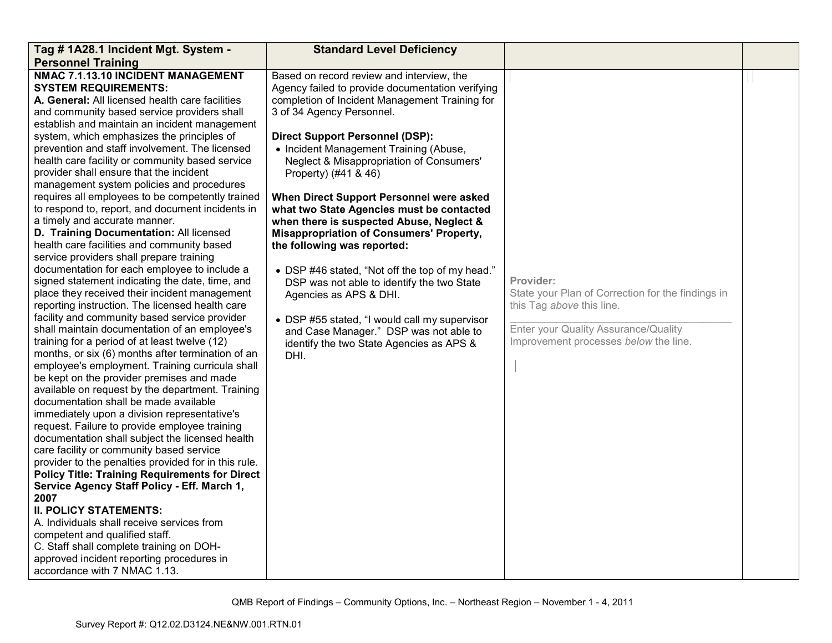| Tag # 1A28.1 Incident Mgt. System -                                                                                                                                                                                                                                                                                                                                                                                                                                                                                                                                                                                                                                                                                                                                                                                                                                                                                                                                                                                                                                                                                                                                                                                                                                                                                                                                                                                                                                                                                                                                                                                                                                                                                                                                                                                                                                                                                                                                         | <b>Standard Level Deficiency</b>                                                                                                                                                                                                                                                                                                                                                                                                                                                                                                                                                                                                                                                                                                                                                                                                      |                                                                                                                                                                              |  |
|-----------------------------------------------------------------------------------------------------------------------------------------------------------------------------------------------------------------------------------------------------------------------------------------------------------------------------------------------------------------------------------------------------------------------------------------------------------------------------------------------------------------------------------------------------------------------------------------------------------------------------------------------------------------------------------------------------------------------------------------------------------------------------------------------------------------------------------------------------------------------------------------------------------------------------------------------------------------------------------------------------------------------------------------------------------------------------------------------------------------------------------------------------------------------------------------------------------------------------------------------------------------------------------------------------------------------------------------------------------------------------------------------------------------------------------------------------------------------------------------------------------------------------------------------------------------------------------------------------------------------------------------------------------------------------------------------------------------------------------------------------------------------------------------------------------------------------------------------------------------------------------------------------------------------------------------------------------------------------|---------------------------------------------------------------------------------------------------------------------------------------------------------------------------------------------------------------------------------------------------------------------------------------------------------------------------------------------------------------------------------------------------------------------------------------------------------------------------------------------------------------------------------------------------------------------------------------------------------------------------------------------------------------------------------------------------------------------------------------------------------------------------------------------------------------------------------------|------------------------------------------------------------------------------------------------------------------------------------------------------------------------------|--|
| <b>Personnel Training</b>                                                                                                                                                                                                                                                                                                                                                                                                                                                                                                                                                                                                                                                                                                                                                                                                                                                                                                                                                                                                                                                                                                                                                                                                                                                                                                                                                                                                                                                                                                                                                                                                                                                                                                                                                                                                                                                                                                                                                   |                                                                                                                                                                                                                                                                                                                                                                                                                                                                                                                                                                                                                                                                                                                                                                                                                                       |                                                                                                                                                                              |  |
| NMAC 7.1.13.10 INCIDENT MANAGEMENT<br><b>SYSTEM REQUIREMENTS:</b><br>A. General: All licensed health care facilities<br>and community based service providers shall<br>establish and maintain an incident management<br>system, which emphasizes the principles of<br>prevention and staff involvement. The licensed<br>health care facility or community based service<br>provider shall ensure that the incident<br>management system policies and procedures<br>requires all employees to be competently trained<br>to respond to, report, and document incidents in<br>a timely and accurate manner.<br>D. Training Documentation: All licensed<br>health care facilities and community based<br>service providers shall prepare training<br>documentation for each employee to include a<br>signed statement indicating the date, time, and<br>place they received their incident management<br>reporting instruction. The licensed health care<br>facility and community based service provider<br>shall maintain documentation of an employee's<br>training for a period of at least twelve (12)<br>months, or six (6) months after termination of an<br>employee's employment. Training curricula shall<br>be kept on the provider premises and made<br>available on request by the department. Training<br>documentation shall be made available<br>immediately upon a division representative's<br>request. Failure to provide employee training<br>documentation shall subject the licensed health<br>care facility or community based service<br>provider to the penalties provided for in this rule.<br><b>Policy Title: Training Requirements for Direct</b><br>Service Agency Staff Policy - Eff. March 1,<br>2007<br><b>II. POLICY STATEMENTS:</b><br>A. Individuals shall receive services from<br>competent and qualified staff.<br>C. Staff shall complete training on DOH-<br>approved incident reporting procedures in<br>accordance with 7 NMAC 1.13. | Based on record review and interview, the<br>Agency failed to provide documentation verifying<br>completion of Incident Management Training for<br>3 of 34 Agency Personnel.<br><b>Direct Support Personnel (DSP):</b><br>• Incident Management Training (Abuse,<br>Neglect & Misappropriation of Consumers'<br>Property) (#41 & 46)<br>When Direct Support Personnel were asked<br>what two State Agencies must be contacted<br>when there is suspected Abuse, Neglect &<br><b>Misappropriation of Consumers' Property,</b><br>the following was reported:<br>• DSP #46 stated, "Not off the top of my head."<br>DSP was not able to identify the two State<br>Agencies as APS & DHI.<br>• DSP #55 stated, "I would call my supervisor<br>and Case Manager." DSP was not able to<br>identify the two State Agencies as APS &<br>DHI. | Provider:<br>State your Plan of Correction for the findings in<br>this Tag above this line.<br>Enter your Quality Assurance/Quality<br>Improvement processes below the line. |  |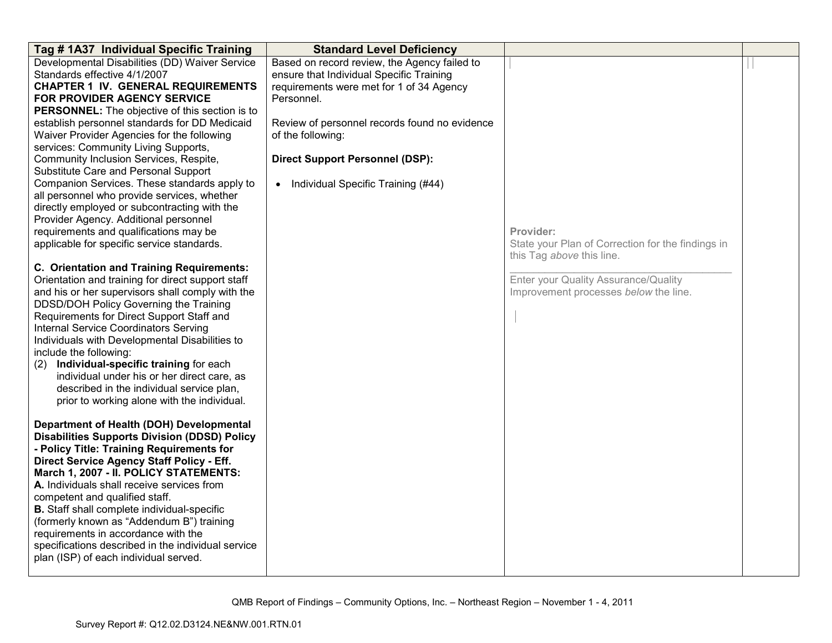| Tag # 1A37 Individual Specific Training                                                                                                                                                                                                                                                                                                                                                                                                                                                                                                                                                                                                                                                                                                                                                                                                                                                                                                                                                                                                                                                                                                                                                                                                                                                                                                                                                                                                                                                                                              | <b>Standard Level Deficiency</b>                                                                                                                                                                                                                                                                           |                                                                                                                                                                              |  |
|--------------------------------------------------------------------------------------------------------------------------------------------------------------------------------------------------------------------------------------------------------------------------------------------------------------------------------------------------------------------------------------------------------------------------------------------------------------------------------------------------------------------------------------------------------------------------------------------------------------------------------------------------------------------------------------------------------------------------------------------------------------------------------------------------------------------------------------------------------------------------------------------------------------------------------------------------------------------------------------------------------------------------------------------------------------------------------------------------------------------------------------------------------------------------------------------------------------------------------------------------------------------------------------------------------------------------------------------------------------------------------------------------------------------------------------------------------------------------------------------------------------------------------------|------------------------------------------------------------------------------------------------------------------------------------------------------------------------------------------------------------------------------------------------------------------------------------------------------------|------------------------------------------------------------------------------------------------------------------------------------------------------------------------------|--|
| Developmental Disabilities (DD) Waiver Service<br>Standards effective 4/1/2007<br><b>CHAPTER 1 IV. GENERAL REQUIREMENTS</b><br>FOR PROVIDER AGENCY SERVICE<br><b>PERSONNEL:</b> The objective of this section is to<br>establish personnel standards for DD Medicaid<br>Waiver Provider Agencies for the following<br>services: Community Living Supports,<br>Community Inclusion Services, Respite,<br>Substitute Care and Personal Support<br>Companion Services. These standards apply to<br>all personnel who provide services, whether<br>directly employed or subcontracting with the<br>Provider Agency. Additional personnel<br>requirements and qualifications may be<br>applicable for specific service standards.<br>C. Orientation and Training Requirements:<br>Orientation and training for direct support staff<br>and his or her supervisors shall comply with the<br>DDSD/DOH Policy Governing the Training<br>Requirements for Direct Support Staff and<br><b>Internal Service Coordinators Serving</b><br>Individuals with Developmental Disabilities to<br>include the following:<br>(2) Individual-specific training for each<br>individual under his or her direct care, as<br>described in the individual service plan,<br>prior to working alone with the individual.<br>Department of Health (DOH) Developmental<br><b>Disabilities Supports Division (DDSD) Policy</b><br>- Policy Title: Training Requirements for<br>Direct Service Agency Staff Policy - Eff.<br>March 1, 2007 - II. POLICY STATEMENTS: | Based on record review, the Agency failed to<br>ensure that Individual Specific Training<br>requirements were met for 1 of 34 Agency<br>Personnel.<br>Review of personnel records found no evidence<br>of the following:<br><b>Direct Support Personnel (DSP):</b><br>• Individual Specific Training (#44) | Provider:<br>State your Plan of Correction for the findings in<br>this Tag above this line.<br>Enter your Quality Assurance/Quality<br>Improvement processes below the line. |  |
| A. Individuals shall receive services from<br>competent and qualified staff.<br><b>B.</b> Staff shall complete individual-specific<br>(formerly known as "Addendum B") training<br>requirements in accordance with the<br>specifications described in the individual service<br>plan (ISP) of each individual served.                                                                                                                                                                                                                                                                                                                                                                                                                                                                                                                                                                                                                                                                                                                                                                                                                                                                                                                                                                                                                                                                                                                                                                                                                |                                                                                                                                                                                                                                                                                                            |                                                                                                                                                                              |  |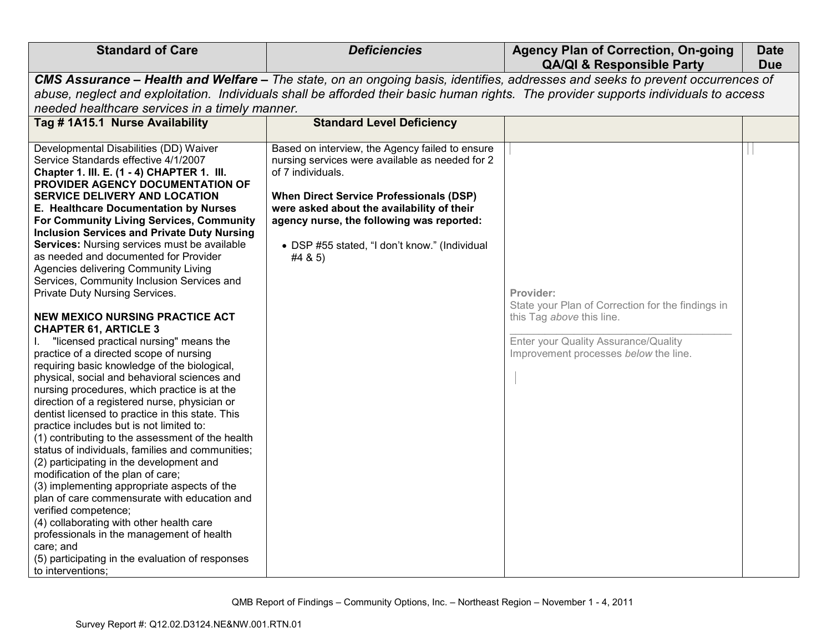| <b>Standard of Care</b>                                                                                                                                                                                                                                                                                                                                                                                                                                                                                                                                                                                                                                                                                                                                                                                                                                                                                                                                                                                                                                                                                                                                                                                                                                                                                                                                                                                                                                                                                                             | <b>Deficiencies</b>                                                                                                                                                                                                                                                                                                              | <b>Agency Plan of Correction, On-going</b><br><b>QA/QI &amp; Responsible Party</b>                                                                                           | <b>Date</b><br><b>Due</b> |
|-------------------------------------------------------------------------------------------------------------------------------------------------------------------------------------------------------------------------------------------------------------------------------------------------------------------------------------------------------------------------------------------------------------------------------------------------------------------------------------------------------------------------------------------------------------------------------------------------------------------------------------------------------------------------------------------------------------------------------------------------------------------------------------------------------------------------------------------------------------------------------------------------------------------------------------------------------------------------------------------------------------------------------------------------------------------------------------------------------------------------------------------------------------------------------------------------------------------------------------------------------------------------------------------------------------------------------------------------------------------------------------------------------------------------------------------------------------------------------------------------------------------------------------|----------------------------------------------------------------------------------------------------------------------------------------------------------------------------------------------------------------------------------------------------------------------------------------------------------------------------------|------------------------------------------------------------------------------------------------------------------------------------------------------------------------------|---------------------------|
|                                                                                                                                                                                                                                                                                                                                                                                                                                                                                                                                                                                                                                                                                                                                                                                                                                                                                                                                                                                                                                                                                                                                                                                                                                                                                                                                                                                                                                                                                                                                     |                                                                                                                                                                                                                                                                                                                                  | CMS Assurance – Health and Welfare – The state, on an ongoing basis, identifies, addresses and seeks to prevent occurrences of                                               |                           |
| needed healthcare services in a timely manner.                                                                                                                                                                                                                                                                                                                                                                                                                                                                                                                                                                                                                                                                                                                                                                                                                                                                                                                                                                                                                                                                                                                                                                                                                                                                                                                                                                                                                                                                                      |                                                                                                                                                                                                                                                                                                                                  | abuse, neglect and exploitation. Individuals shall be afforded their basic human rights. The provider supports individuals to access                                         |                           |
| Tag #1A15.1 Nurse Availability                                                                                                                                                                                                                                                                                                                                                                                                                                                                                                                                                                                                                                                                                                                                                                                                                                                                                                                                                                                                                                                                                                                                                                                                                                                                                                                                                                                                                                                                                                      | <b>Standard Level Deficiency</b>                                                                                                                                                                                                                                                                                                 |                                                                                                                                                                              |                           |
| Developmental Disabilities (DD) Waiver<br>Service Standards effective 4/1/2007<br>Chapter 1. III. E. (1 - 4) CHAPTER 1. III.<br>PROVIDER AGENCY DOCUMENTATION OF<br><b>SERVICE DELIVERY AND LOCATION</b><br>E. Healthcare Documentation by Nurses<br>For Community Living Services, Community<br><b>Inclusion Services and Private Duty Nursing</b><br>Services: Nursing services must be available<br>as needed and documented for Provider<br>Agencies delivering Community Living<br>Services, Community Inclusion Services and<br>Private Duty Nursing Services.<br><b>NEW MEXICO NURSING PRACTICE ACT</b><br><b>CHAPTER 61, ARTICLE 3</b><br>"licensed practical nursing" means the<br>practice of a directed scope of nursing<br>requiring basic knowledge of the biological,<br>physical, social and behavioral sciences and<br>nursing procedures, which practice is at the<br>direction of a registered nurse, physician or<br>dentist licensed to practice in this state. This<br>practice includes but is not limited to:<br>(1) contributing to the assessment of the health<br>status of individuals, families and communities;<br>(2) participating in the development and<br>modification of the plan of care;<br>(3) implementing appropriate aspects of the<br>plan of care commensurate with education and<br>verified competence;<br>(4) collaborating with other health care<br>professionals in the management of health<br>care; and<br>(5) participating in the evaluation of responses<br>to interventions; | Based on interview, the Agency failed to ensure<br>nursing services were available as needed for 2<br>of 7 individuals.<br><b>When Direct Service Professionals (DSP)</b><br>were asked about the availability of their<br>agency nurse, the following was reported:<br>• DSP #55 stated, "I don't know." (Individual<br>#4 & 5) | Provider:<br>State your Plan of Correction for the findings in<br>this Tag above this line.<br>Enter your Quality Assurance/Quality<br>Improvement processes below the line. |                           |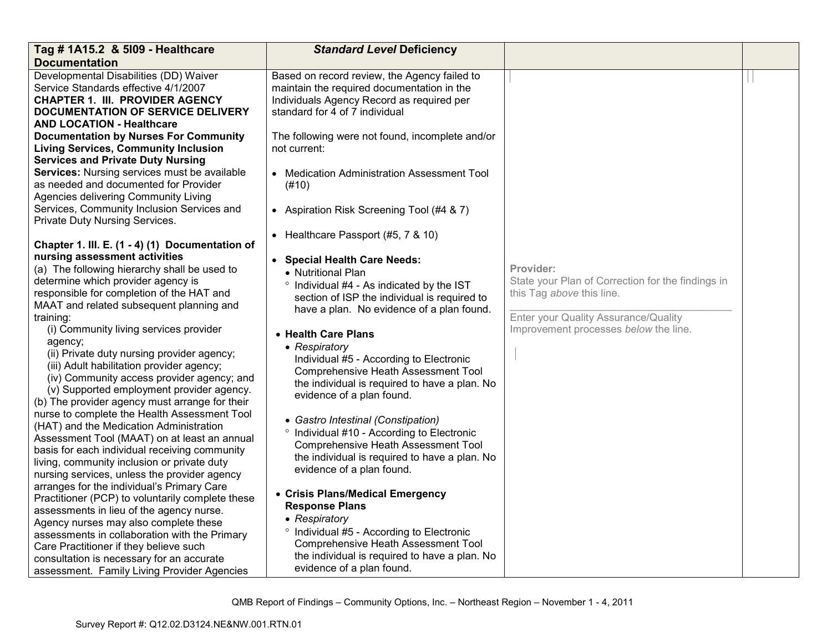| Tag # 1A15.2 & 5109 - Healthcare                                                                                                                                                                                                                                                                                                                                           | <b>Standard Level Deficiency</b>                                                                                                                                                                                                                               |                                                                                                                                     |  |
|----------------------------------------------------------------------------------------------------------------------------------------------------------------------------------------------------------------------------------------------------------------------------------------------------------------------------------------------------------------------------|----------------------------------------------------------------------------------------------------------------------------------------------------------------------------------------------------------------------------------------------------------------|-------------------------------------------------------------------------------------------------------------------------------------|--|
| <b>Documentation</b>                                                                                                                                                                                                                                                                                                                                                       |                                                                                                                                                                                                                                                                |                                                                                                                                     |  |
| Developmental Disabilities (DD) Waiver<br>Service Standards effective 4/1/2007<br><b>CHAPTER 1. III. PROVIDER AGENCY</b><br><b>DOCUMENTATION OF SERVICE DELIVERY</b><br><b>AND LOCATION - Healthcare</b>                                                                                                                                                                   | Based on record review, the Agency failed to<br>maintain the required documentation in the<br>Individuals Agency Record as required per<br>standard for 4 of 7 individual                                                                                      |                                                                                                                                     |  |
| <b>Documentation by Nurses For Community</b><br><b>Living Services, Community Inclusion</b><br><b>Services and Private Duty Nursing</b>                                                                                                                                                                                                                                    | The following were not found, incomplete and/or<br>not current:                                                                                                                                                                                                |                                                                                                                                     |  |
| Services: Nursing services must be available<br>as needed and documented for Provider<br>Agencies delivering Community Living                                                                                                                                                                                                                                              | • Medication Administration Assessment Tool<br>(#10)                                                                                                                                                                                                           |                                                                                                                                     |  |
| Services, Community Inclusion Services and<br>Private Duty Nursing Services.                                                                                                                                                                                                                                                                                               | • Aspiration Risk Screening Tool (#4 & 7)                                                                                                                                                                                                                      |                                                                                                                                     |  |
| Chapter 1. III. E. (1 - 4) (1) Documentation of                                                                                                                                                                                                                                                                                                                            | • Healthcare Passport (#5, 7 & 10)                                                                                                                                                                                                                             |                                                                                                                                     |  |
| nursing assessment activities<br>(a) The following hierarchy shall be used to<br>determine which provider agency is<br>responsible for completion of the HAT and<br>MAAT and related subsequent planning and<br>training:                                                                                                                                                  | • Special Health Care Needs:<br>• Nutritional Plan<br>° Individual #4 - As indicated by the IST<br>section of ISP the individual is required to<br>have a plan. No evidence of a plan found.                                                                   | Provider:<br>State your Plan of Correction for the findings in<br>this Tag above this line.<br>Enter your Quality Assurance/Quality |  |
| (i) Community living services provider<br>agency;<br>(ii) Private duty nursing provider agency;<br>(iii) Adult habilitation provider agency;<br>(iv) Community access provider agency; and<br>(v) Supported employment provider agency.<br>(b) The provider agency must arrange for their                                                                                  | • Health Care Plans<br>• Respiratory<br>Individual #5 - According to Electronic<br><b>Comprehensive Heath Assessment Tool</b><br>the individual is required to have a plan. No<br>evidence of a plan found.                                                    | Improvement processes below the line.                                                                                               |  |
| nurse to complete the Health Assessment Tool<br>(HAT) and the Medication Administration<br>Assessment Tool (MAAT) on at least an annual<br>basis for each individual receiving community<br>living, community inclusion or private duty<br>nursing services, unless the provider agency                                                                                    | • Gastro Intestinal (Constipation)<br>° Individual #10 - According to Electronic<br><b>Comprehensive Heath Assessment Tool</b><br>the individual is required to have a plan. No<br>evidence of a plan found.                                                   |                                                                                                                                     |  |
| arranges for the individual's Primary Care<br>Practitioner (PCP) to voluntarily complete these<br>assessments in lieu of the agency nurse.<br>Agency nurses may also complete these<br>assessments in collaboration with the Primary<br>Care Practitioner if they believe such<br>consultation is necessary for an accurate<br>assessment. Family Living Provider Agencies | • Crisis Plans/Medical Emergency<br><b>Response Plans</b><br>• Respiratory<br><sup>o</sup> Individual #5 - According to Electronic<br><b>Comprehensive Heath Assessment Tool</b><br>the individual is required to have a plan. No<br>evidence of a plan found. |                                                                                                                                     |  |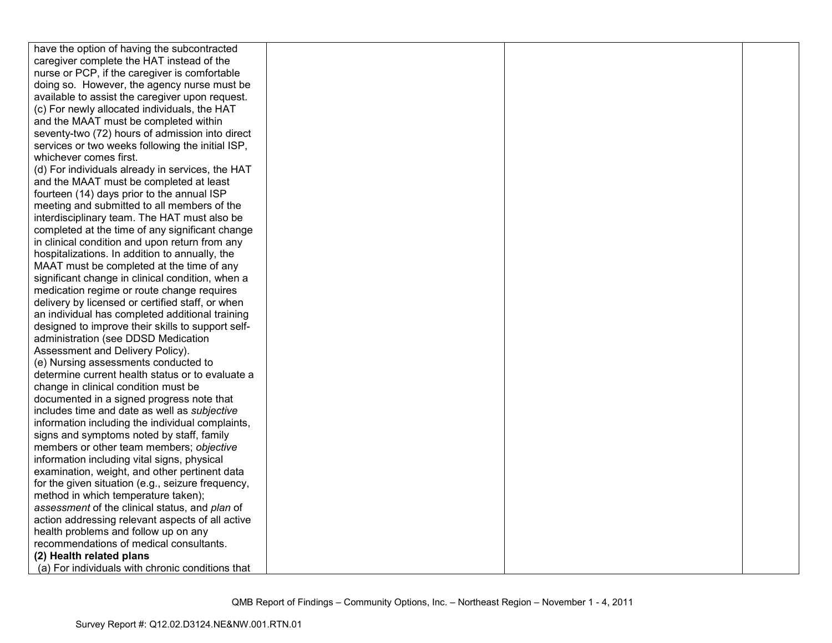| have the option of having the subcontracted       |  |  |
|---------------------------------------------------|--|--|
| caregiver complete the HAT instead of the         |  |  |
| nurse or PCP, if the caregiver is comfortable     |  |  |
| doing so. However, the agency nurse must be       |  |  |
| available to assist the caregiver upon request.   |  |  |
| (c) For newly allocated individuals, the HAT      |  |  |
| and the MAAT must be completed within             |  |  |
| seventy-two (72) hours of admission into direct   |  |  |
| services or two weeks following the initial ISP,  |  |  |
| whichever comes first.                            |  |  |
| (d) For individuals already in services, the HAT  |  |  |
| and the MAAT must be completed at least           |  |  |
| fourteen (14) days prior to the annual ISP        |  |  |
| meeting and submitted to all members of the       |  |  |
| interdisciplinary team. The HAT must also be      |  |  |
| completed at the time of any significant change   |  |  |
| in clinical condition and upon return from any    |  |  |
| hospitalizations. In addition to annually, the    |  |  |
| MAAT must be completed at the time of any         |  |  |
| significant change in clinical condition, when a  |  |  |
| medication regime or route change requires        |  |  |
| delivery by licensed or certified staff, or when  |  |  |
| an individual has completed additional training   |  |  |
| designed to improve their skills to support self- |  |  |
| administration (see DDSD Medication               |  |  |
| Assessment and Delivery Policy).                  |  |  |
| (e) Nursing assessments conducted to              |  |  |
| determine current health status or to evaluate a  |  |  |
| change in clinical condition must be              |  |  |
| documented in a signed progress note that         |  |  |
| includes time and date as well as subjective      |  |  |
| information including the individual complaints,  |  |  |
| signs and symptoms noted by staff, family         |  |  |
| members or other team members; objective          |  |  |
| information including vital signs, physical       |  |  |
| examination, weight, and other pertinent data     |  |  |
| for the given situation (e.g., seizure frequency, |  |  |
| method in which temperature taken);               |  |  |
| assessment of the clinical status, and plan of    |  |  |
| action addressing relevant aspects of all active  |  |  |
| health problems and follow up on any              |  |  |
| recommendations of medical consultants.           |  |  |
| (2) Health related plans                          |  |  |
| (a) For individuals with chronic conditions that  |  |  |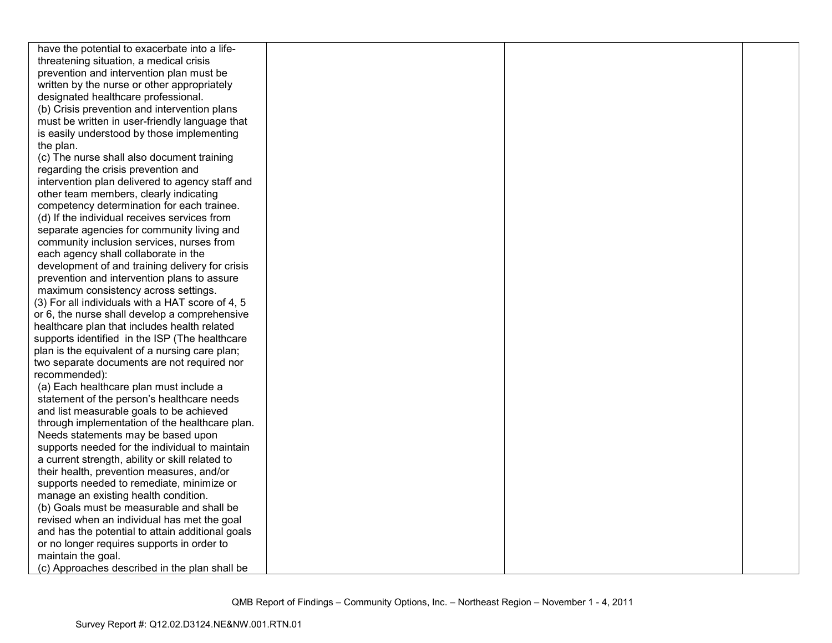| have the potential to exacerbate into a life-    |  |  |
|--------------------------------------------------|--|--|
| threatening situation, a medical crisis          |  |  |
| prevention and intervention plan must be         |  |  |
| written by the nurse or other appropriately      |  |  |
| designated healthcare professional.              |  |  |
| (b) Crisis prevention and intervention plans     |  |  |
| must be written in user-friendly language that   |  |  |
| is easily understood by those implementing       |  |  |
| the plan.                                        |  |  |
| (c) The nurse shall also document training       |  |  |
| regarding the crisis prevention and              |  |  |
| intervention plan delivered to agency staff and  |  |  |
| other team members, clearly indicating           |  |  |
| competency determination for each trainee.       |  |  |
| (d) If the individual receives services from     |  |  |
| separate agencies for community living and       |  |  |
| community inclusion services, nurses from        |  |  |
| each agency shall collaborate in the             |  |  |
| development of and training delivery for crisis  |  |  |
| prevention and intervention plans to assure      |  |  |
| maximum consistency across settings.             |  |  |
| (3) For all individuals with a HAT score of 4, 5 |  |  |
| or 6, the nurse shall develop a comprehensive    |  |  |
| healthcare plan that includes health related     |  |  |
| supports identified in the ISP (The healthcare   |  |  |
| plan is the equivalent of a nursing care plan;   |  |  |
| two separate documents are not required nor      |  |  |
| recommended):                                    |  |  |
| (a) Each healthcare plan must include a          |  |  |
| statement of the person's healthcare needs       |  |  |
| and list measurable goals to be achieved         |  |  |
| through implementation of the healthcare plan.   |  |  |
| Needs statements may be based upon               |  |  |
| supports needed for the individual to maintain   |  |  |
| a current strength, ability or skill related to  |  |  |
| their health, prevention measures, and/or        |  |  |
| supports needed to remediate, minimize or        |  |  |
| manage an existing health condition.             |  |  |
| (b) Goals must be measurable and shall be        |  |  |
| revised when an individual has met the goal      |  |  |
| and has the potential to attain additional goals |  |  |
| or no longer requires supports in order to       |  |  |
| maintain the goal.                               |  |  |
| (c) Approaches described in the plan shall be    |  |  |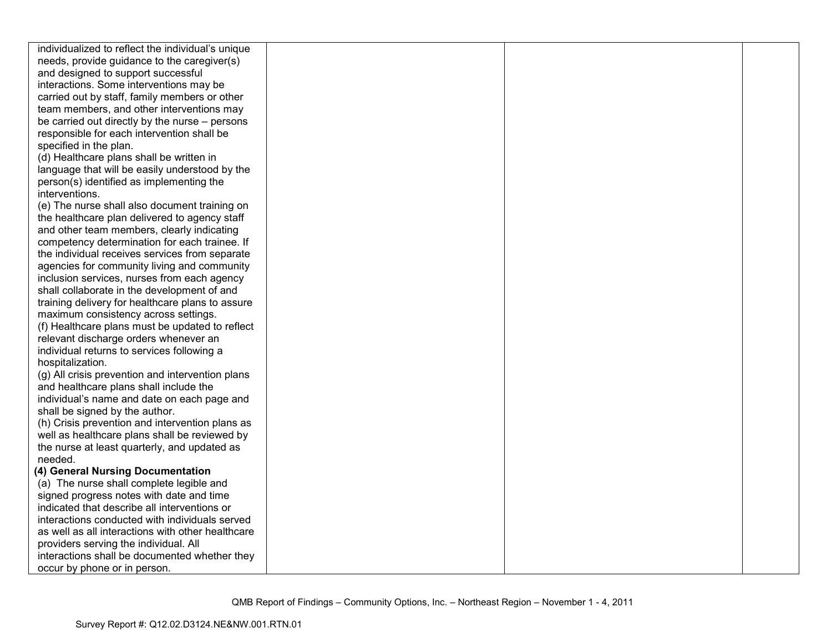| individualized to reflect the individual's unique |  |  |
|---------------------------------------------------|--|--|
| needs, provide guidance to the caregiver(s)       |  |  |
| and designed to support successful                |  |  |
| interactions. Some interventions may be           |  |  |
| carried out by staff, family members or other     |  |  |
| team members, and other interventions may         |  |  |
| be carried out directly by the nurse – persons    |  |  |
| responsible for each intervention shall be        |  |  |
| specified in the plan.                            |  |  |
| (d) Healthcare plans shall be written in          |  |  |
| language that will be easily understood by the    |  |  |
| person(s) identified as implementing the          |  |  |
| interventions.                                    |  |  |
| (e) The nurse shall also document training on     |  |  |
| the healthcare plan delivered to agency staff     |  |  |
| and other team members, clearly indicating        |  |  |
| competency determination for each trainee. If     |  |  |
| the individual receives services from separate    |  |  |
| agencies for community living and community       |  |  |
| inclusion services, nurses from each agency       |  |  |
| shall collaborate in the development of and       |  |  |
| training delivery for healthcare plans to assure  |  |  |
| maximum consistency across settings.              |  |  |
| (f) Healthcare plans must be updated to reflect   |  |  |
| relevant discharge orders whenever an             |  |  |
| individual returns to services following a        |  |  |
| hospitalization.                                  |  |  |
| (g) All crisis prevention and intervention plans  |  |  |
| and healthcare plans shall include the            |  |  |
| individual's name and date on each page and       |  |  |
| shall be signed by the author.                    |  |  |
| (h) Crisis prevention and intervention plans as   |  |  |
| well as healthcare plans shall be reviewed by     |  |  |
| the nurse at least quarterly, and updated as      |  |  |
| needed.                                           |  |  |
| (4) General Nursing Documentation                 |  |  |
| (a) The nurse shall complete legible and          |  |  |
| signed progress notes with date and time          |  |  |
| indicated that describe all interventions or      |  |  |
| interactions conducted with individuals served    |  |  |
| as well as all interactions with other healthcare |  |  |
| providers serving the individual. All             |  |  |
| interactions shall be documented whether they     |  |  |
| occur by phone or in person.                      |  |  |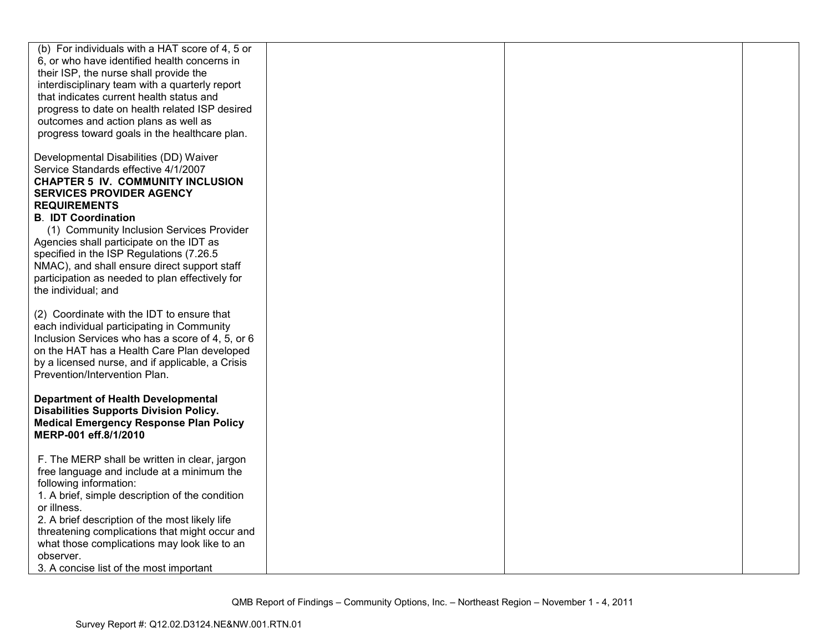| (b) For individuals with a HAT score of 4, 5 or<br>6, or who have identified health concerns in<br>their ISP, the nurse shall provide the<br>interdisciplinary team with a quarterly report<br>that indicates current health status and<br>progress to date on health related ISP desired<br>outcomes and action plans as well as<br>progress toward goals in the healthcare plan.                                                                                                |  |  |
|-----------------------------------------------------------------------------------------------------------------------------------------------------------------------------------------------------------------------------------------------------------------------------------------------------------------------------------------------------------------------------------------------------------------------------------------------------------------------------------|--|--|
| Developmental Disabilities (DD) Waiver<br>Service Standards effective 4/1/2007<br><b>CHAPTER 5 IV. COMMUNITY INCLUSION</b><br><b>SERVICES PROVIDER AGENCY</b><br><b>REQUIREMENTS</b><br><b>B. IDT Coordination</b><br>(1) Community Inclusion Services Provider<br>Agencies shall participate on the IDT as<br>specified in the ISP Regulations (7.26.5<br>NMAC), and shall ensure direct support staff<br>participation as needed to plan effectively for<br>the individual; and |  |  |
| (2) Coordinate with the IDT to ensure that<br>each individual participating in Community<br>Inclusion Services who has a score of 4, 5, or 6<br>on the HAT has a Health Care Plan developed<br>by a licensed nurse, and if applicable, a Crisis<br>Prevention/Intervention Plan.                                                                                                                                                                                                  |  |  |
| <b>Department of Health Developmental</b><br><b>Disabilities Supports Division Policy.</b><br><b>Medical Emergency Response Plan Policy</b><br>MERP-001 eff.8/1/2010                                                                                                                                                                                                                                                                                                              |  |  |
| F. The MERP shall be written in clear, jargon<br>free language and include at a minimum the<br>following information:<br>1. A brief, simple description of the condition<br>or illness.<br>2. A brief description of the most likely life<br>threatening complications that might occur and<br>what those complications may look like to an<br>observer.<br>3. A concise list of the most important                                                                               |  |  |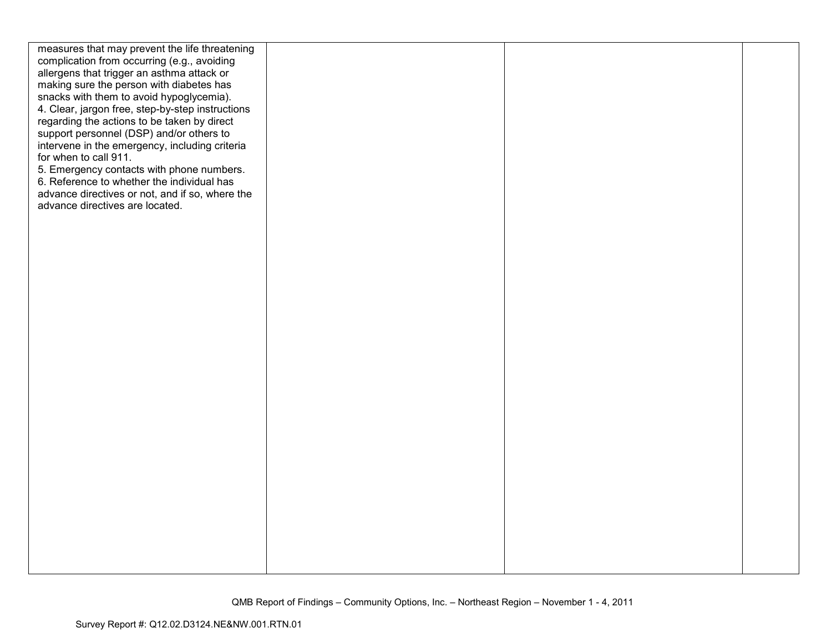| measures that may prevent the life threatening   |  |  |
|--------------------------------------------------|--|--|
| complication from occurring (e.g., avoiding      |  |  |
| allergens that trigger an asthma attack or       |  |  |
| making sure the person with diabetes has         |  |  |
| snacks with them to avoid hypoglycemia).         |  |  |
| 4. Clear, jargon free, step-by-step instructions |  |  |
| regarding the actions to be taken by direct      |  |  |
| support personnel (DSP) and/or others to         |  |  |
| intervene in the emergency, including criteria   |  |  |
| for when to call 911.                            |  |  |
| 5. Emergency contacts with phone numbers.        |  |  |
| 6. Reference to whether the individual has       |  |  |
| advance directives or not, and if so, where the  |  |  |
| advance directives are located.                  |  |  |
|                                                  |  |  |
|                                                  |  |  |
|                                                  |  |  |
|                                                  |  |  |
|                                                  |  |  |
|                                                  |  |  |
|                                                  |  |  |
|                                                  |  |  |
|                                                  |  |  |
|                                                  |  |  |
|                                                  |  |  |
|                                                  |  |  |
|                                                  |  |  |
|                                                  |  |  |
|                                                  |  |  |
|                                                  |  |  |
|                                                  |  |  |
|                                                  |  |  |
|                                                  |  |  |
|                                                  |  |  |
|                                                  |  |  |
|                                                  |  |  |
|                                                  |  |  |
|                                                  |  |  |
|                                                  |  |  |
|                                                  |  |  |
|                                                  |  |  |
|                                                  |  |  |
|                                                  |  |  |
|                                                  |  |  |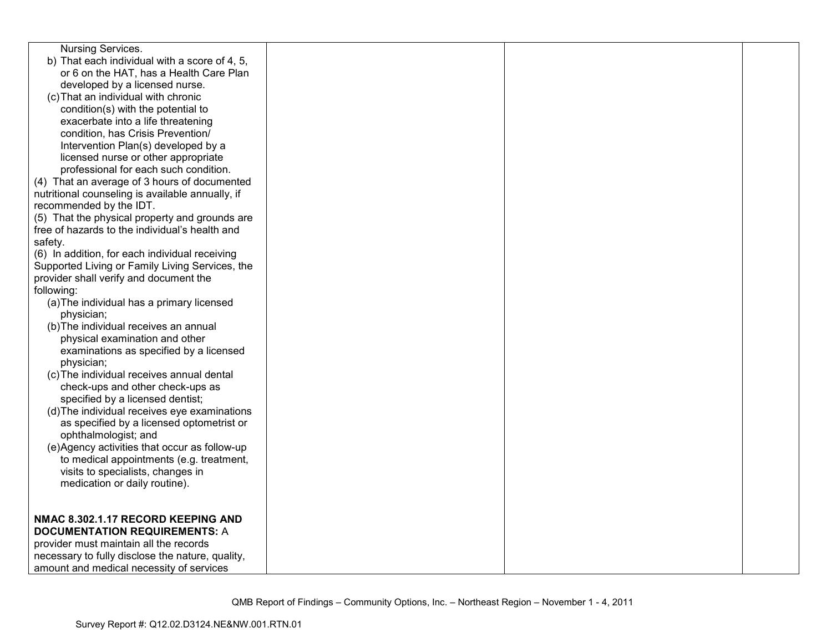| Nursing Services.                                |  |  |
|--------------------------------------------------|--|--|
| b) That each individual with a score of 4, 5,    |  |  |
| or 6 on the HAT, has a Health Care Plan          |  |  |
| developed by a licensed nurse.                   |  |  |
| (c) That an individual with chronic              |  |  |
| condition(s) with the potential to               |  |  |
| exacerbate into a life threatening               |  |  |
| condition, has Crisis Prevention/                |  |  |
| Intervention Plan(s) developed by a              |  |  |
| licensed nurse or other appropriate              |  |  |
| professional for each such condition.            |  |  |
| (4) That an average of 3 hours of documented     |  |  |
| nutritional counseling is available annually, if |  |  |
| recommended by the IDT.                          |  |  |
| (5) That the physical property and grounds are   |  |  |
| free of hazards to the individual's health and   |  |  |
| safety.                                          |  |  |
| (6) In addition, for each individual receiving   |  |  |
| Supported Living or Family Living Services, the  |  |  |
| provider shall verify and document the           |  |  |
| following:                                       |  |  |
| (a) The individual has a primary licensed        |  |  |
| physician;                                       |  |  |
| (b) The individual receives an annual            |  |  |
| physical examination and other                   |  |  |
| examinations as specified by a licensed          |  |  |
| physician;                                       |  |  |
| (c) The individual receives annual dental        |  |  |
| check-ups and other check-ups as                 |  |  |
| specified by a licensed dentist;                 |  |  |
| (d) The individual receives eye examinations     |  |  |
| as specified by a licensed optometrist or        |  |  |
| ophthalmologist; and                             |  |  |
| (e)Agency activities that occur as follow-up     |  |  |
| to medical appointments (e.g. treatment,         |  |  |
| visits to specialists, changes in                |  |  |
| medication or daily routine).                    |  |  |
|                                                  |  |  |
| NMAC 8.302.1.17 RECORD KEEPING AND               |  |  |
| <b>DOCUMENTATION REQUIREMENTS: A</b>             |  |  |
| provider must maintain all the records           |  |  |
| necessary to fully disclose the nature, quality, |  |  |
| amount and medical necessity of services         |  |  |
|                                                  |  |  |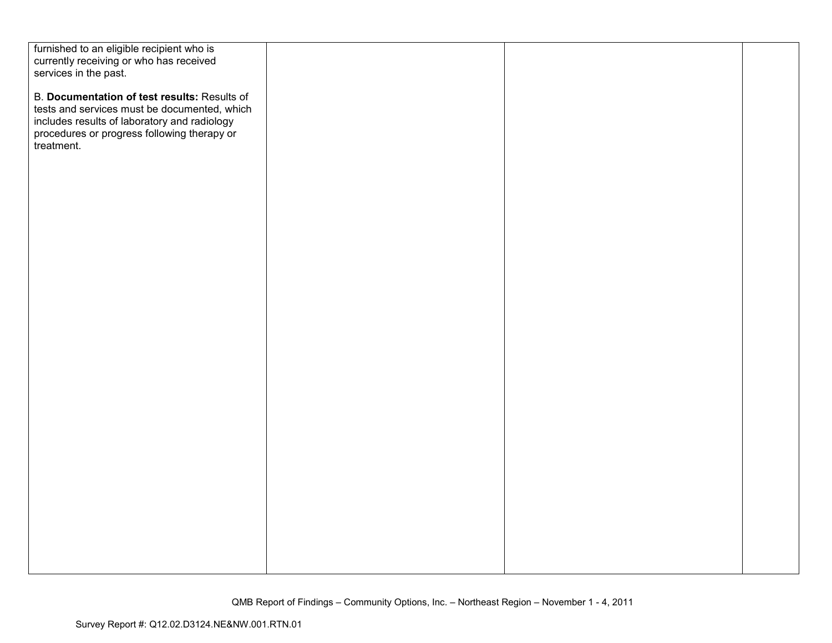| furnished to an eligible recipient who is                                                    |  |  |
|----------------------------------------------------------------------------------------------|--|--|
| currently receiving or who has received                                                      |  |  |
| services in the past.                                                                        |  |  |
| B. Documentation of test results: Results of<br>tests and services must be documented, which |  |  |
| includes results of laboratory and radiology                                                 |  |  |
| procedures or progress following therapy or                                                  |  |  |
| treatment.                                                                                   |  |  |
|                                                                                              |  |  |
|                                                                                              |  |  |
|                                                                                              |  |  |
|                                                                                              |  |  |
|                                                                                              |  |  |
|                                                                                              |  |  |
|                                                                                              |  |  |
|                                                                                              |  |  |
|                                                                                              |  |  |
|                                                                                              |  |  |
|                                                                                              |  |  |
|                                                                                              |  |  |
|                                                                                              |  |  |
|                                                                                              |  |  |
|                                                                                              |  |  |
|                                                                                              |  |  |
|                                                                                              |  |  |
|                                                                                              |  |  |
|                                                                                              |  |  |
|                                                                                              |  |  |
|                                                                                              |  |  |
|                                                                                              |  |  |
|                                                                                              |  |  |
|                                                                                              |  |  |
|                                                                                              |  |  |
|                                                                                              |  |  |
|                                                                                              |  |  |
|                                                                                              |  |  |
|                                                                                              |  |  |
|                                                                                              |  |  |
|                                                                                              |  |  |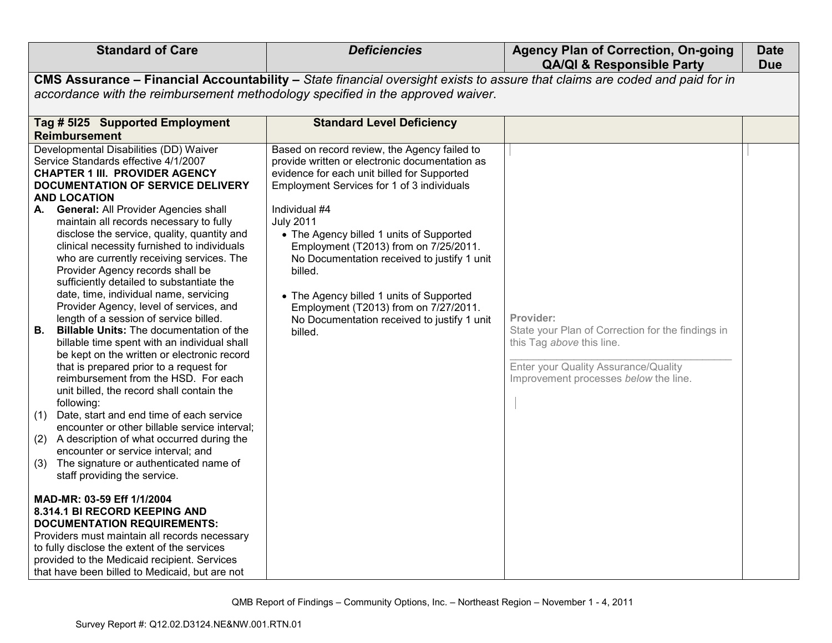| <b>Standard of Care</b>                                                                                                                                                                                                                                                                                                                                                                                                                                                                                                                                                                                                                                                                                                                                                                                                                                                                                                                                                                                                                                                                                                                                                                                                                                                                                                                                                                                                                                                                                                                     | <b>Deficiencies</b>                                                                                                                                                                                                                                                                                                                                                                                                                                                                                                            | <b>Agency Plan of Correction, On-going</b><br><b>QA/QI &amp; Responsible Party</b>                                                                                           | <b>Date</b><br><b>Due</b> |
|---------------------------------------------------------------------------------------------------------------------------------------------------------------------------------------------------------------------------------------------------------------------------------------------------------------------------------------------------------------------------------------------------------------------------------------------------------------------------------------------------------------------------------------------------------------------------------------------------------------------------------------------------------------------------------------------------------------------------------------------------------------------------------------------------------------------------------------------------------------------------------------------------------------------------------------------------------------------------------------------------------------------------------------------------------------------------------------------------------------------------------------------------------------------------------------------------------------------------------------------------------------------------------------------------------------------------------------------------------------------------------------------------------------------------------------------------------------------------------------------------------------------------------------------|--------------------------------------------------------------------------------------------------------------------------------------------------------------------------------------------------------------------------------------------------------------------------------------------------------------------------------------------------------------------------------------------------------------------------------------------------------------------------------------------------------------------------------|------------------------------------------------------------------------------------------------------------------------------------------------------------------------------|---------------------------|
| accordance with the reimbursement methodology specified in the approved waiver.                                                                                                                                                                                                                                                                                                                                                                                                                                                                                                                                                                                                                                                                                                                                                                                                                                                                                                                                                                                                                                                                                                                                                                                                                                                                                                                                                                                                                                                             | CMS Assurance - Financial Accountability - State financial oversight exists to assure that claims are coded and paid for in                                                                                                                                                                                                                                                                                                                                                                                                    |                                                                                                                                                                              |                           |
| Tag # 5125 Supported Employment<br>Reimbursement                                                                                                                                                                                                                                                                                                                                                                                                                                                                                                                                                                                                                                                                                                                                                                                                                                                                                                                                                                                                                                                                                                                                                                                                                                                                                                                                                                                                                                                                                            | <b>Standard Level Deficiency</b>                                                                                                                                                                                                                                                                                                                                                                                                                                                                                               |                                                                                                                                                                              |                           |
| Developmental Disabilities (DD) Waiver<br>Service Standards effective 4/1/2007<br><b>CHAPTER 1 III. PROVIDER AGENCY</b><br>DOCUMENTATION OF SERVICE DELIVERY<br><b>AND LOCATION</b><br><b>General: All Provider Agencies shall</b><br>А.<br>maintain all records necessary to fully<br>disclose the service, quality, quantity and<br>clinical necessity furnished to individuals<br>who are currently receiving services. The<br>Provider Agency records shall be<br>sufficiently detailed to substantiate the<br>date, time, individual name, servicing<br>Provider Agency, level of services, and<br>length of a session of service billed.<br><b>Billable Units: The documentation of the</b><br>В.<br>billable time spent with an individual shall<br>be kept on the written or electronic record<br>that is prepared prior to a request for<br>reimbursement from the HSD. For each<br>unit billed, the record shall contain the<br>following:<br>Date, start and end time of each service<br>(1)<br>encounter or other billable service interval;<br>A description of what occurred during the<br>(2)<br>encounter or service interval; and<br>The signature or authenticated name of<br>(3)<br>staff providing the service.<br>MAD-MR: 03-59 Eff 1/1/2004<br>8.314.1 BI RECORD KEEPING AND<br><b>DOCUMENTATION REQUIREMENTS:</b><br>Providers must maintain all records necessary<br>to fully disclose the extent of the services<br>provided to the Medicaid recipient. Services<br>that have been billed to Medicaid, but are not | Based on record review, the Agency failed to<br>provide written or electronic documentation as<br>evidence for each unit billed for Supported<br>Employment Services for 1 of 3 individuals<br>Individual #4<br><b>July 2011</b><br>• The Agency billed 1 units of Supported<br>Employment (T2013) from on 7/25/2011.<br>No Documentation received to justify 1 unit<br>billed.<br>• The Agency billed 1 units of Supported<br>Employment (T2013) from on 7/27/2011.<br>No Documentation received to justify 1 unit<br>billed. | Provider:<br>State your Plan of Correction for the findings in<br>this Tag above this line.<br>Enter your Quality Assurance/Quality<br>Improvement processes below the line. |                           |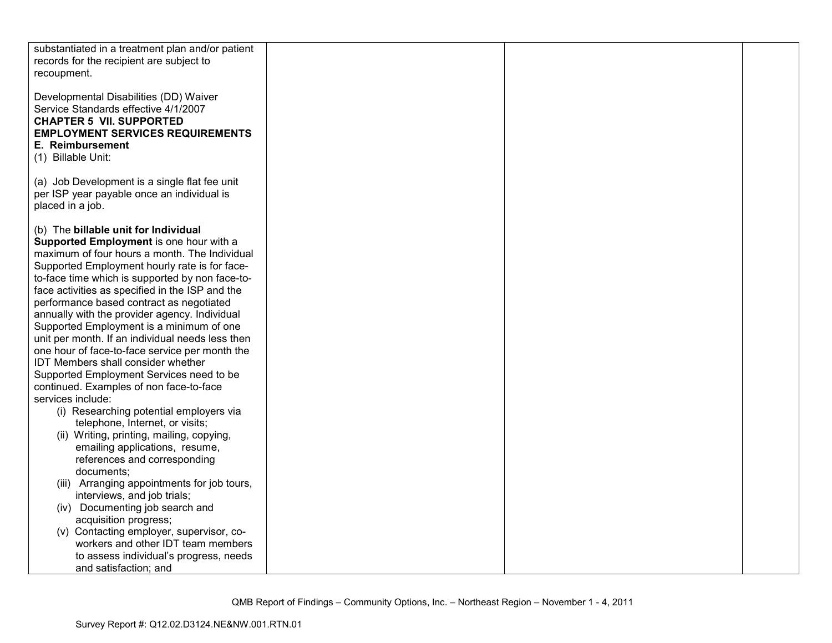| substantiated in a treatment plan and/or patient<br>records for the recipient are subject to<br>recoupment.                                                                                                                                                                                                                                                                                                                                                                                                                                                                                                                                                                                                                                                                                                                                                                                                                                                                                                                                                                               |  |  |
|-------------------------------------------------------------------------------------------------------------------------------------------------------------------------------------------------------------------------------------------------------------------------------------------------------------------------------------------------------------------------------------------------------------------------------------------------------------------------------------------------------------------------------------------------------------------------------------------------------------------------------------------------------------------------------------------------------------------------------------------------------------------------------------------------------------------------------------------------------------------------------------------------------------------------------------------------------------------------------------------------------------------------------------------------------------------------------------------|--|--|
| Developmental Disabilities (DD) Waiver<br>Service Standards effective 4/1/2007<br><b>CHAPTER 5 VII. SUPPORTED</b><br><b>EMPLOYMENT SERVICES REQUIREMENTS</b><br>E. Reimbursement<br>(1) Billable Unit:                                                                                                                                                                                                                                                                                                                                                                                                                                                                                                                                                                                                                                                                                                                                                                                                                                                                                    |  |  |
| (a) Job Development is a single flat fee unit<br>per ISP year payable once an individual is<br>placed in a job.                                                                                                                                                                                                                                                                                                                                                                                                                                                                                                                                                                                                                                                                                                                                                                                                                                                                                                                                                                           |  |  |
| (b) The billable unit for Individual<br>Supported Employment is one hour with a<br>maximum of four hours a month. The Individual<br>Supported Employment hourly rate is for face-<br>to-face time which is supported by non face-to-<br>face activities as specified in the ISP and the<br>performance based contract as negotiated<br>annually with the provider agency. Individual<br>Supported Employment is a minimum of one<br>unit per month. If an individual needs less then<br>one hour of face-to-face service per month the<br>IDT Members shall consider whether<br>Supported Employment Services need to be<br>continued. Examples of non face-to-face<br>services include:<br>(i) Researching potential employers via<br>telephone, Internet, or visits;<br>(ii) Writing, printing, mailing, copying,<br>emailing applications, resume,<br>references and corresponding<br>documents;<br>(iii) Arranging appointments for job tours,<br>interviews, and job trials;<br>(iv) Documenting job search and<br>acquisition progress;<br>(v) Contacting employer, supervisor, co- |  |  |
| workers and other IDT team members<br>to assess individual's progress, needs<br>and satisfaction; and                                                                                                                                                                                                                                                                                                                                                                                                                                                                                                                                                                                                                                                                                                                                                                                                                                                                                                                                                                                     |  |  |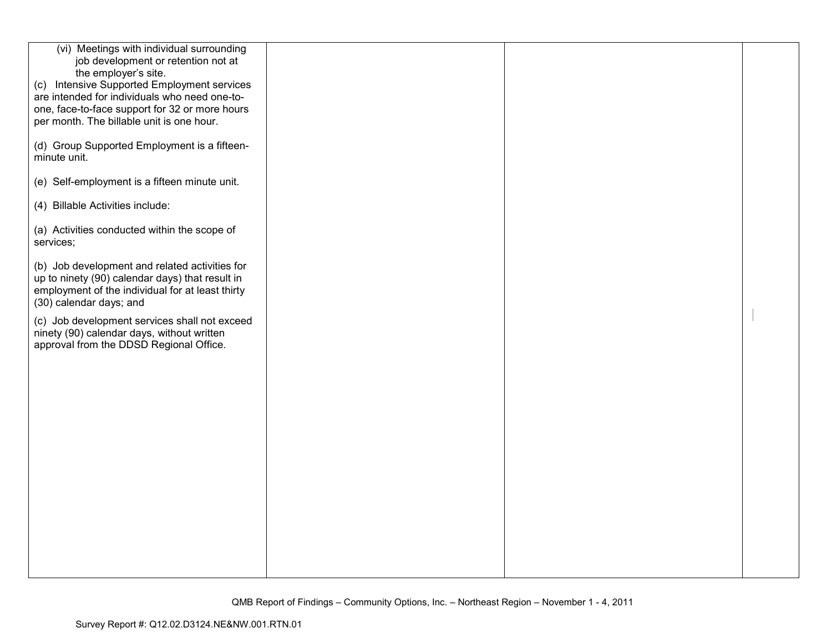| (vi) Meetings with individual surrounding<br>job development or retention not at<br>the employer's site.<br>(c) Intensive Supported Employment services<br>are intended for individuals who need one-to-<br>one, face-to-face support for 32 or more hours<br>per month. The billable unit is one hour. |  |  |
|---------------------------------------------------------------------------------------------------------------------------------------------------------------------------------------------------------------------------------------------------------------------------------------------------------|--|--|
| (d) Group Supported Employment is a fifteen-<br>minute unit.                                                                                                                                                                                                                                            |  |  |
| (e) Self-employment is a fifteen minute unit.                                                                                                                                                                                                                                                           |  |  |
| (4) Billable Activities include:                                                                                                                                                                                                                                                                        |  |  |
| (a) Activities conducted within the scope of<br>services;                                                                                                                                                                                                                                               |  |  |
| (b) Job development and related activities for<br>up to ninety (90) calendar days) that result in<br>employment of the individual for at least thirty<br>(30) calendar days; and                                                                                                                        |  |  |
| (c) Job development services shall not exceed<br>ninety (90) calendar days, without written<br>approval from the DDSD Regional Office.                                                                                                                                                                  |  |  |
|                                                                                                                                                                                                                                                                                                         |  |  |
|                                                                                                                                                                                                                                                                                                         |  |  |
|                                                                                                                                                                                                                                                                                                         |  |  |
|                                                                                                                                                                                                                                                                                                         |  |  |
|                                                                                                                                                                                                                                                                                                         |  |  |
|                                                                                                                                                                                                                                                                                                         |  |  |
|                                                                                                                                                                                                                                                                                                         |  |  |
|                                                                                                                                                                                                                                                                                                         |  |  |
|                                                                                                                                                                                                                                                                                                         |  |  |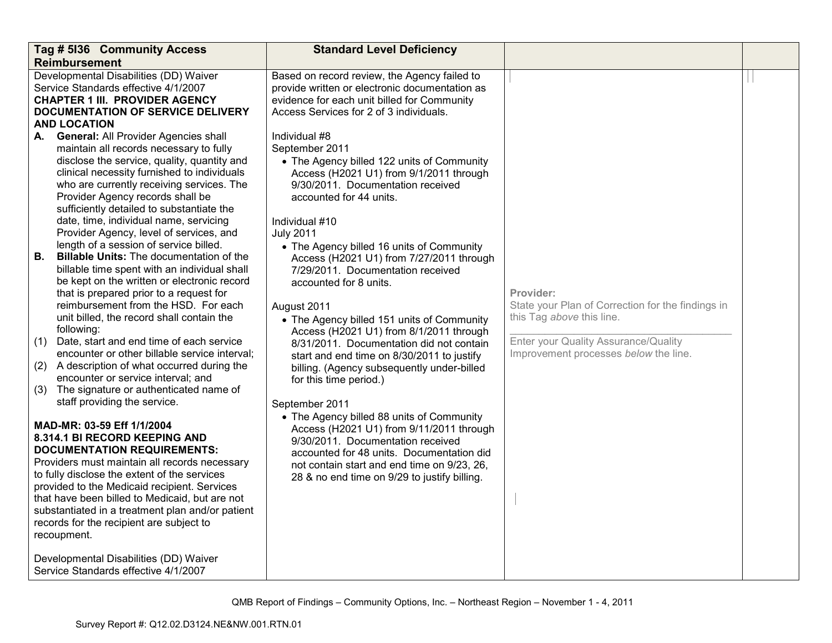| Tag # 5136 Community Access                                                                                                                                                                                                                                                                                                                                                                                                                         | <b>Standard Level Deficiency</b>                                                                                                                                                                                                                                                         |                                                                                             |  |
|-----------------------------------------------------------------------------------------------------------------------------------------------------------------------------------------------------------------------------------------------------------------------------------------------------------------------------------------------------------------------------------------------------------------------------------------------------|------------------------------------------------------------------------------------------------------------------------------------------------------------------------------------------------------------------------------------------------------------------------------------------|---------------------------------------------------------------------------------------------|--|
| <b>Reimbursement</b>                                                                                                                                                                                                                                                                                                                                                                                                                                |                                                                                                                                                                                                                                                                                          |                                                                                             |  |
| Developmental Disabilities (DD) Waiver<br>Service Standards effective 4/1/2007<br><b>CHAPTER 1 III. PROVIDER AGENCY</b><br><b>DOCUMENTATION OF SERVICE DELIVERY</b><br><b>AND LOCATION</b>                                                                                                                                                                                                                                                          | Based on record review, the Agency failed to<br>provide written or electronic documentation as<br>evidence for each unit billed for Community<br>Access Services for 2 of 3 individuals.                                                                                                 |                                                                                             |  |
| <b>General: All Provider Agencies shall</b><br>А.<br>maintain all records necessary to fully<br>disclose the service, quality, quantity and<br>clinical necessity furnished to individuals<br>who are currently receiving services. The<br>Provider Agency records shall be<br>sufficiently detailed to substantiate the<br>date, time, individual name, servicing<br>Provider Agency, level of services, and                                       | Individual #8<br>September 2011<br>• The Agency billed 122 units of Community<br>Access (H2021 U1) from 9/1/2011 through<br>9/30/2011. Documentation received<br>accounted for 44 units.<br>Individual #10<br><b>July 2011</b>                                                           |                                                                                             |  |
| length of a session of service billed.<br><b>Billable Units: The documentation of the</b><br>В.<br>billable time spent with an individual shall<br>be kept on the written or electronic record<br>that is prepared prior to a request for<br>reimbursement from the HSD. For each<br>unit billed, the record shall contain the<br>following:                                                                                                        | • The Agency billed 16 units of Community<br>Access (H2021 U1) from 7/27/2011 through<br>7/29/2011. Documentation received<br>accounted for 8 units.<br>August 2011<br>• The Agency billed 151 units of Community<br>Access (H2021 U1) from 8/1/2011 through                             | Provider:<br>State your Plan of Correction for the findings in<br>this Tag above this line. |  |
| Date, start and end time of each service<br>(1)<br>encounter or other billable service interval;<br>A description of what occurred during the<br>(2)                                                                                                                                                                                                                                                                                                | 8/31/2011. Documentation did not contain<br>start and end time on 8/30/2011 to justify<br>billing. (Agency subsequently under-billed                                                                                                                                                     | Enter your Quality Assurance/Quality<br>Improvement processes below the line.               |  |
| encounter or service interval; and<br>The signature or authenticated name of<br>(3)                                                                                                                                                                                                                                                                                                                                                                 | for this time period.)                                                                                                                                                                                                                                                                   |                                                                                             |  |
| staff providing the service.<br>MAD-MR: 03-59 Eff 1/1/2004<br>8.314.1 BI RECORD KEEPING AND<br><b>DOCUMENTATION REQUIREMENTS:</b><br>Providers must maintain all records necessary<br>to fully disclose the extent of the services<br>provided to the Medicaid recipient. Services<br>that have been billed to Medicaid, but are not<br>substantiated in a treatment plan and/or patient<br>records for the recipient are subject to<br>recoupment. | September 2011<br>• The Agency billed 88 units of Community<br>Access (H2021 U1) from 9/11/2011 through<br>9/30/2011. Documentation received<br>accounted for 48 units. Documentation did<br>not contain start and end time on 9/23, 26,<br>28 & no end time on 9/29 to justify billing. |                                                                                             |  |
| Developmental Disabilities (DD) Waiver<br>Service Standards effective 4/1/2007                                                                                                                                                                                                                                                                                                                                                                      |                                                                                                                                                                                                                                                                                          |                                                                                             |  |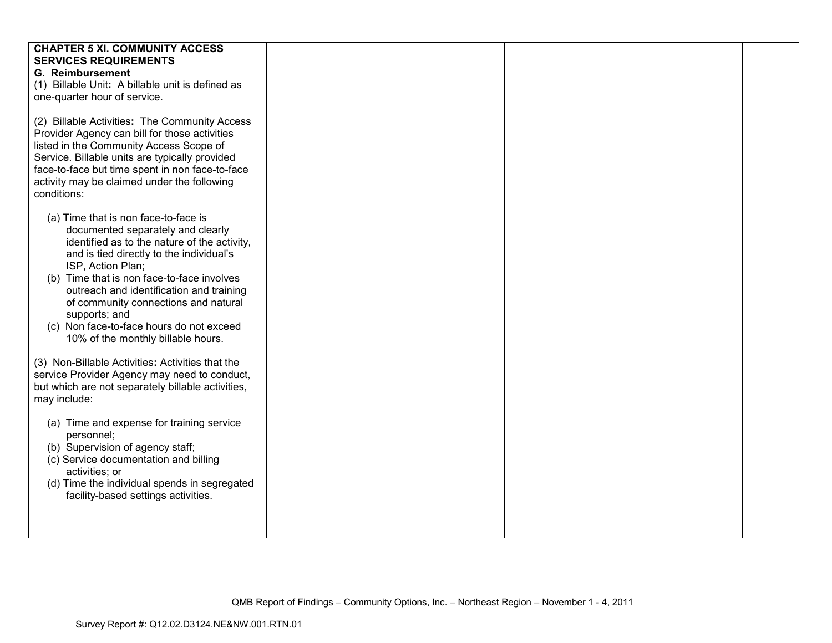| <b>CHAPTER 5 XI. COMMUNITY ACCESS</b><br><b>SERVICES REQUIREMENTS</b><br><b>G. Reimbursement</b><br>(1) Billable Unit: A billable unit is defined as<br>one-quarter hour of service.                                                                                                                                                                                                                                            |  |  |
|---------------------------------------------------------------------------------------------------------------------------------------------------------------------------------------------------------------------------------------------------------------------------------------------------------------------------------------------------------------------------------------------------------------------------------|--|--|
| (2) Billable Activities: The Community Access<br>Provider Agency can bill for those activities<br>listed in the Community Access Scope of<br>Service. Billable units are typically provided<br>face-to-face but time spent in non face-to-face<br>activity may be claimed under the following<br>conditions:                                                                                                                    |  |  |
| (a) Time that is non face-to-face is<br>documented separately and clearly<br>identified as to the nature of the activity,<br>and is tied directly to the individual's<br>ISP, Action Plan;<br>(b) Time that is non face-to-face involves<br>outreach and identification and training<br>of community connections and natural<br>supports; and<br>(c) Non face-to-face hours do not exceed<br>10% of the monthly billable hours. |  |  |
| (3) Non-Billable Activities: Activities that the<br>service Provider Agency may need to conduct,<br>but which are not separately billable activities,<br>may include:                                                                                                                                                                                                                                                           |  |  |
| (a) Time and expense for training service<br>personnel;<br>(b) Supervision of agency staff;<br>(c) Service documentation and billing<br>activities; or<br>(d) Time the individual spends in segregated<br>facility-based settings activities.                                                                                                                                                                                   |  |  |
|                                                                                                                                                                                                                                                                                                                                                                                                                                 |  |  |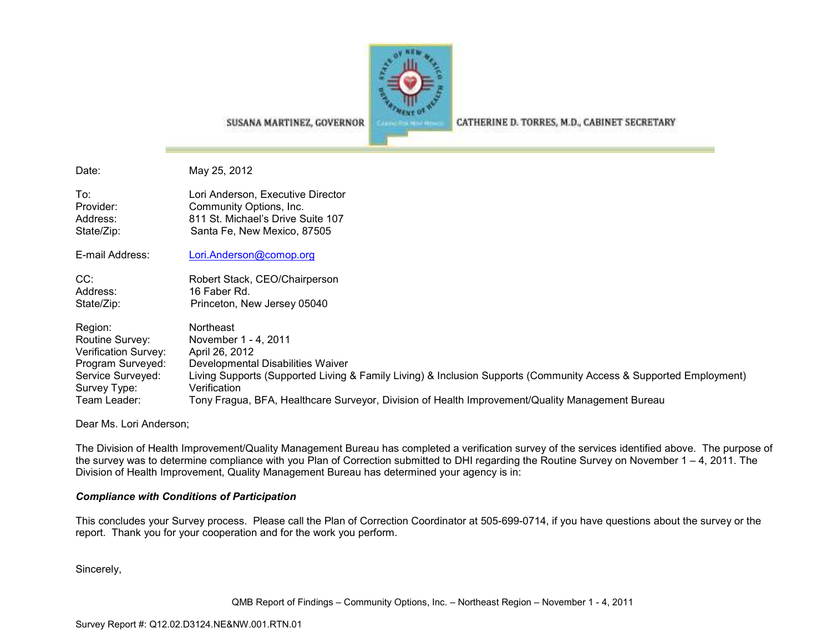

CATHERINE D. TORRES, M.D., CABINET SECRETARY

SUSANA MARTINEZ, GOVERNOR

Date: May 25, 2012To: Lori Anderson, Executive Director Provider: Community Options, Inc. Address: 811 St. Michael's Drive Suite 107 State/Zip: Santa Fe, New Mexico, 87505 E-mail Address: Lori.Anderson@comop.org

CC: Robert Stack, CEO/Chairperson Address: 16 Faber Rd. State/Zip: Princeton, New Jersey 05040

| Region:              | <b>Northeast</b>                                                                                                  |
|----------------------|-------------------------------------------------------------------------------------------------------------------|
| Routine Survey:      | November 1 - 4, 2011                                                                                              |
| Verification Survey: | April 26, 2012                                                                                                    |
| Program Surveyed:    | Developmental Disabilities Waiver                                                                                 |
| Service Surveyed:    | Living Supports (Supported Living & Family Living) & Inclusion Supports (Community Access & Supported Employment) |
| Survey Type:         | Verification                                                                                                      |
| Team Leader:         | Tony Fragua, BFA, Healthcare Surveyor, Division of Health Improvement/Quality Management Bureau                   |

Dear Ms. Lori Anderson;

The Division of Health Improvement/Quality Management Bureau has completed a verification survey of the services identified above. The purpose of the survey was to determine compliance with you Plan of Correction submitted to DHI regarding the Routine Survey on November 1 – 4, 2011. The Division of Health Improvement, Quality Management Bureau has determined your agency is in:

## *Compliance with Conditions of Participation*

This concludes your Survey process. Please call the Plan of Correction Coordinator at 505-699-0714, if you have questions about the survey or the report. Thank you for your cooperation and for the work you perform.

Sincerely,